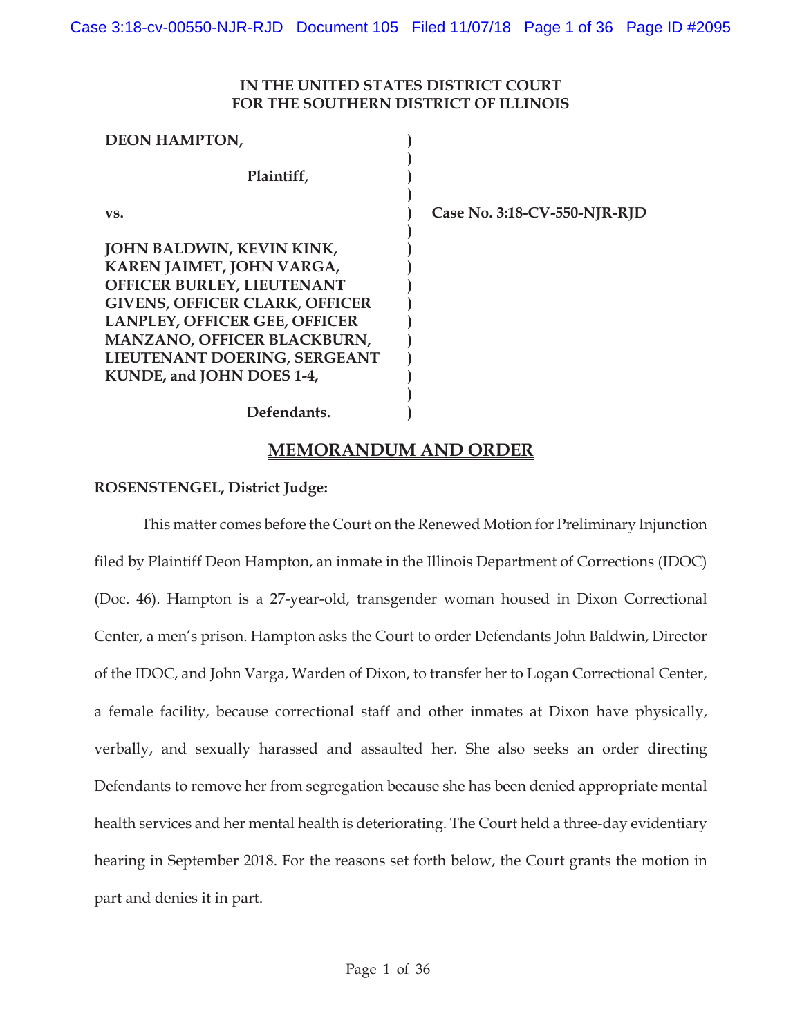### **IN THE UNITED STATES DISTRICT COURT FOR THE SOUTHERN DISTRICT OF ILLINOIS**

| <b>DEON HAMPTON,</b>                  |                              |
|---------------------------------------|------------------------------|
| Plaintiff,                            |                              |
| VS.                                   | Case No. 3:18-CV-550-NJR-RJD |
| JOHN BALDWIN, KEVIN KINK,             |                              |
| KAREN JAIMET, JOHN VARGA,             |                              |
| OFFICER BURLEY, LIEUTENANT            |                              |
| <b>GIVENS, OFFICER CLARK, OFFICER</b> |                              |
| <b>LANPLEY, OFFICER GEE, OFFICER</b>  |                              |
| <b>MANZANO, OFFICER BLACKBURN,</b>    |                              |
| LIEUTENANT DOERING, SERGEANT          |                              |
| KUNDE, and JOHN DOES 1-4,             |                              |
|                                       |                              |
| Defendants.                           |                              |

# **Defendants.**

## **MEMORANDUM AND ORDER**

### **ROSENSTENGEL, District Judge:**

This matter comes before the Court on the Renewed Motion for Preliminary Injunction filed by Plaintiff Deon Hampton, an inmate in the Illinois Department of Corrections (IDOC) (Doc. 46). Hampton is a 27-year-old, transgender woman housed in Dixon Correctional Center, a men's prison. Hampton asks the Court to order Defendants John Baldwin, Director of the IDOC, and John Varga, Warden of Dixon, to transfer her to Logan Correctional Center, a female facility, because correctional staff and other inmates at Dixon have physically, verbally, and sexually harassed and assaulted her. She also seeks an order directing Defendants to remove her from segregation because she has been denied appropriate mental health services and her mental health is deteriorating. The Court held a three-day evidentiary hearing in September 2018. For the reasons set forth below, the Court grants the motion in part and denies it in part.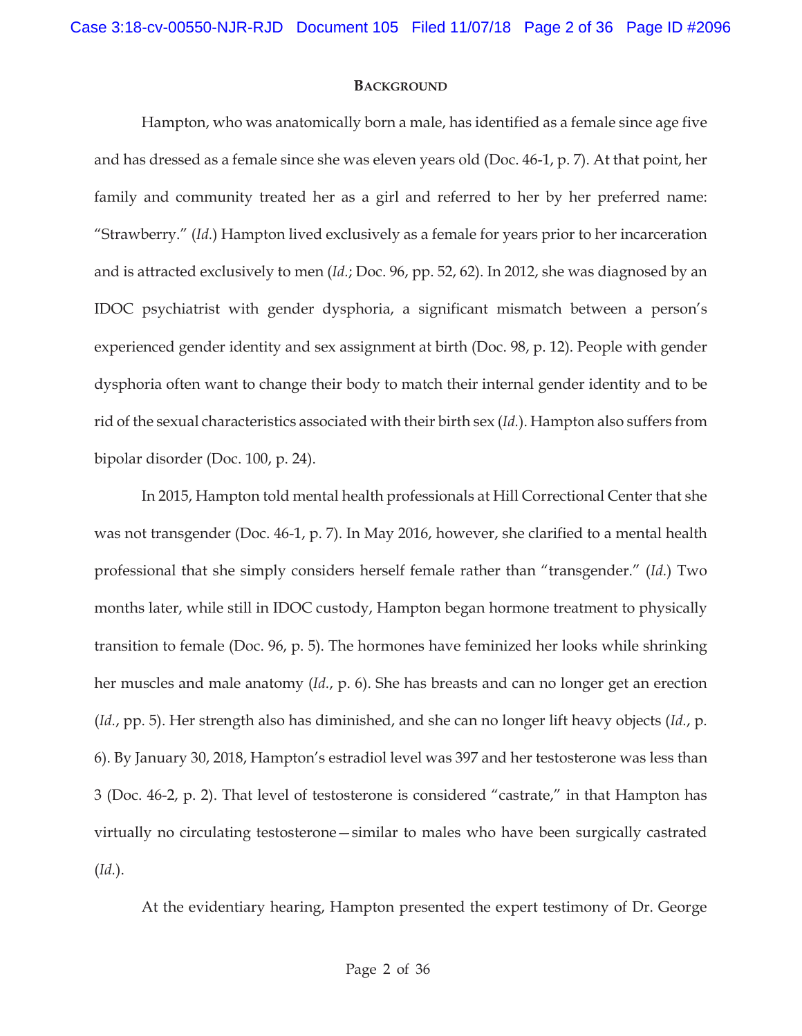#### **BACKGROUND**

Hampton, who was anatomically born a male, has identified as a female since age five and has dressed as a female since she was eleven years old (Doc. 46-1, p. 7). At that point, her family and community treated her as a girl and referred to her by her preferred name: "Strawberry." (*Id.*) Hampton lived exclusively as a female for years prior to her incarceration and is attracted exclusively to men (*Id.*; Doc. 96, pp. 52, 62). In 2012, she was diagnosed by an IDOC psychiatrist with gender dysphoria, a significant mismatch between a person's experienced gender identity and sex assignment at birth (Doc. 98, p. 12). People with gender dysphoria often want to change their body to match their internal gender identity and to be rid of the sexual characteristics associated with their birth sex (*Id.*). Hampton also suffers from bipolar disorder (Doc. 100, p. 24).

In 2015, Hampton told mental health professionals at Hill Correctional Center that she was not transgender (Doc. 46-1, p. 7). In May 2016, however, she clarified to a mental health professional that she simply considers herself female rather than "transgender." (*Id.*) Two months later, while still in IDOC custody, Hampton began hormone treatment to physically transition to female (Doc. 96, p. 5). The hormones have feminized her looks while shrinking her muscles and male anatomy (*Id.*, p. 6). She has breasts and can no longer get an erection (*Id.*, pp. 5). Her strength also has diminished, and she can no longer lift heavy objects (*Id.*, p. 6). By January 30, 2018, Hampton's estradiol level was 397 and her testosterone was less than 3 (Doc. 46-2, p. 2). That level of testosterone is considered "castrate," in that Hampton has virtually no circulating testosterone—similar to males who have been surgically castrated (*Id.*).

At the evidentiary hearing, Hampton presented the expert testimony of Dr. George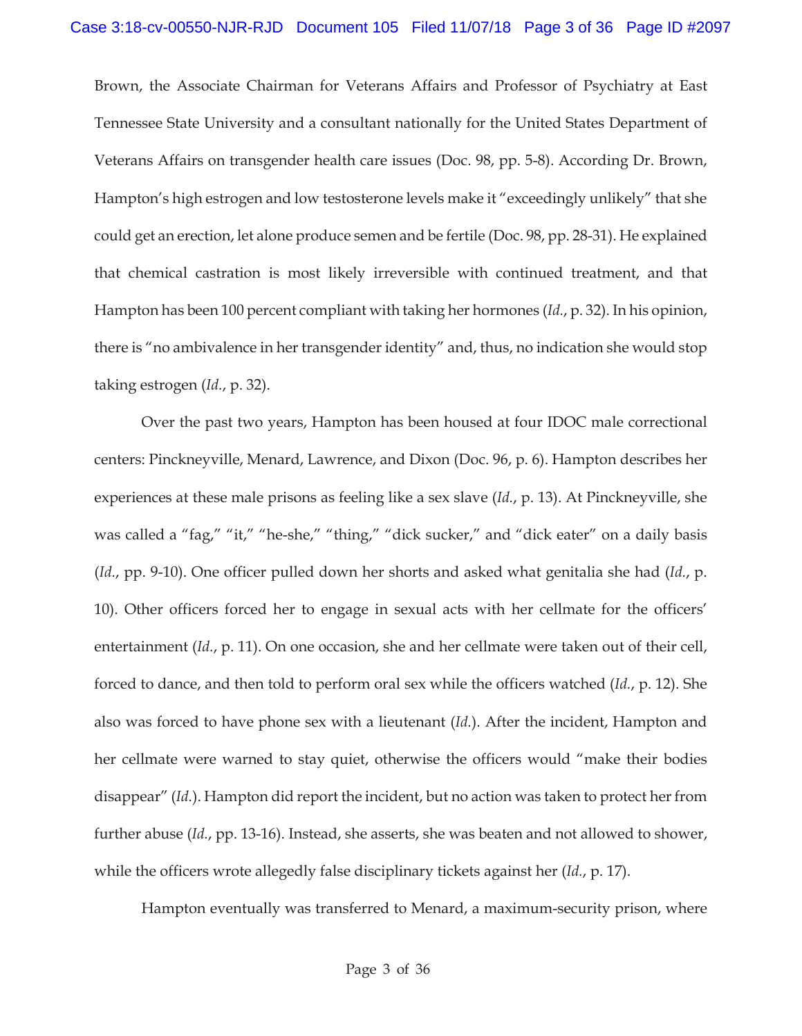Brown, the Associate Chairman for Veterans Affairs and Professor of Psychiatry at East Tennessee State University and a consultant nationally for the United States Department of Veterans Affairs on transgender health care issues (Doc. 98, pp. 5-8). According Dr. Brown, Hampton's high estrogen and low testosterone levels make it "exceedingly unlikely" that she could get an erection, let alone produce semen and be fertile (Doc. 98, pp. 28-31). He explained that chemical castration is most likely irreversible with continued treatment, and that Hampton has been 100 percent compliant with taking her hormones (*Id.*, p. 32). In his opinion, there is "no ambivalence in her transgender identity" and, thus, no indication she would stop taking estrogen (*Id.*, p. 32).

Over the past two years, Hampton has been housed at four IDOC male correctional centers: Pinckneyville, Menard, Lawrence, and Dixon (Doc. 96, p. 6). Hampton describes her experiences at these male prisons as feeling like a sex slave (*Id.*, p. 13). At Pinckneyville, she was called a "fag," "it," "he-she," "thing," "dick sucker," and "dick eater" on a daily basis (*Id.*, pp. 9-10). One officer pulled down her shorts and asked what genitalia she had (*Id.*, p. 10). Other officers forced her to engage in sexual acts with her cellmate for the officers' entertainment (*Id.*, p. 11). On one occasion, she and her cellmate were taken out of their cell, forced to dance, and then told to perform oral sex while the officers watched (*Id.*, p. 12). She also was forced to have phone sex with a lieutenant (*Id.*). After the incident, Hampton and her cellmate were warned to stay quiet, otherwise the officers would "make their bodies disappear" (*Id.*). Hampton did report the incident, but no action was taken to protect her from further abuse (*Id.*, pp. 13-16). Instead, she asserts, she was beaten and not allowed to shower, while the officers wrote allegedly false disciplinary tickets against her (*Id.*, p. 17).

Hampton eventually was transferred to Menard, a maximum-security prison, where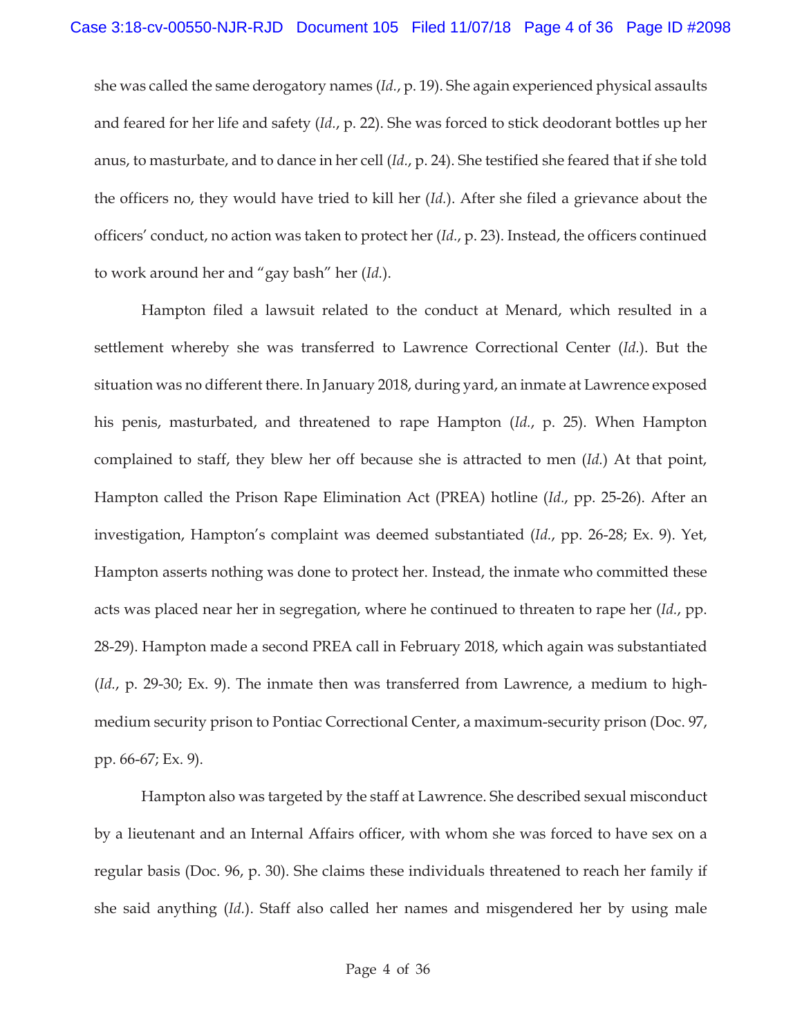she was called the same derogatory names (*Id.*, p. 19). She again experienced physical assaults and feared for her life and safety (*Id.*, p. 22). She was forced to stick deodorant bottles up her anus, to masturbate, and to dance in her cell (*Id.*, p. 24). She testified she feared that if she told the officers no, they would have tried to kill her (*Id.*). After she filed a grievance about the officers' conduct, no action was taken to protect her (*Id.*, p. 23). Instead, the officers continued to work around her and "gay bash" her (*Id.*).

 Hampton filed a lawsuit related to the conduct at Menard, which resulted in a settlement whereby she was transferred to Lawrence Correctional Center (*Id.*). But the situation was no different there. In January 2018, during yard, an inmate at Lawrence exposed his penis, masturbated, and threatened to rape Hampton (*Id.*, p. 25). When Hampton complained to staff, they blew her off because she is attracted to men (*Id.*) At that point, Hampton called the Prison Rape Elimination Act (PREA) hotline (*Id.*, pp. 25-26). After an investigation, Hampton's complaint was deemed substantiated (*Id.*, pp. 26-28; Ex. 9). Yet, Hampton asserts nothing was done to protect her. Instead, the inmate who committed these acts was placed near her in segregation, where he continued to threaten to rape her (*Id.*, pp. 28-29). Hampton made a second PREA call in February 2018, which again was substantiated (*Id.*, p. 29-30; Ex. 9). The inmate then was transferred from Lawrence, a medium to highmedium security prison to Pontiac Correctional Center, a maximum-security prison (Doc. 97, pp. 66-67; Ex. 9).

Hampton also was targeted by the staff at Lawrence. She described sexual misconduct by a lieutenant and an Internal Affairs officer, with whom she was forced to have sex on a regular basis (Doc. 96, p. 30). She claims these individuals threatened to reach her family if she said anything (*Id.*). Staff also called her names and misgendered her by using male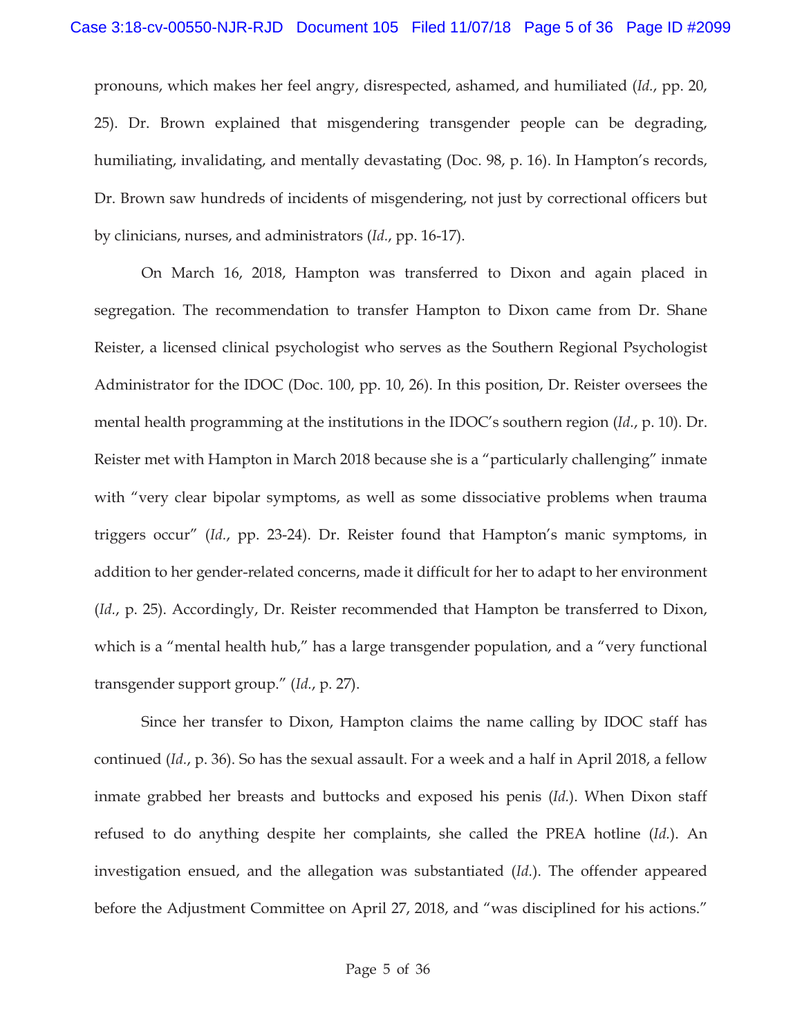pronouns, which makes her feel angry, disrespected, ashamed, and humiliated (*Id.*, pp. 20, 25). Dr. Brown explained that misgendering transgender people can be degrading, humiliating, invalidating, and mentally devastating (Doc. 98, p. 16). In Hampton's records, Dr. Brown saw hundreds of incidents of misgendering, not just by correctional officers but by clinicians, nurses, and administrators (*Id.*, pp. 16-17).

 On March 16, 2018, Hampton was transferred to Dixon and again placed in segregation. The recommendation to transfer Hampton to Dixon came from Dr. Shane Reister, a licensed clinical psychologist who serves as the Southern Regional Psychologist Administrator for the IDOC (Doc. 100, pp. 10, 26). In this position, Dr. Reister oversees the mental health programming at the institutions in the IDOC's southern region (*Id.*, p. 10). Dr. Reister met with Hampton in March 2018 because she is a "particularly challenging" inmate with "very clear bipolar symptoms, as well as some dissociative problems when trauma triggers occur" (*Id.*, pp. 23-24). Dr. Reister found that Hampton's manic symptoms, in addition to her gender-related concerns, made it difficult for her to adapt to her environment (*Id.*, p. 25). Accordingly, Dr. Reister recommended that Hampton be transferred to Dixon, which is a "mental health hub," has a large transgender population, and a "very functional transgender support group." (*Id.*, p. 27).

Since her transfer to Dixon, Hampton claims the name calling by IDOC staff has continued (*Id.*, p. 36). So has the sexual assault. For a week and a half in April 2018, a fellow inmate grabbed her breasts and buttocks and exposed his penis (*Id.*). When Dixon staff refused to do anything despite her complaints, she called the PREA hotline (*Id.*). An investigation ensued, and the allegation was substantiated (*Id.*). The offender appeared before the Adjustment Committee on April 27, 2018, and "was disciplined for his actions."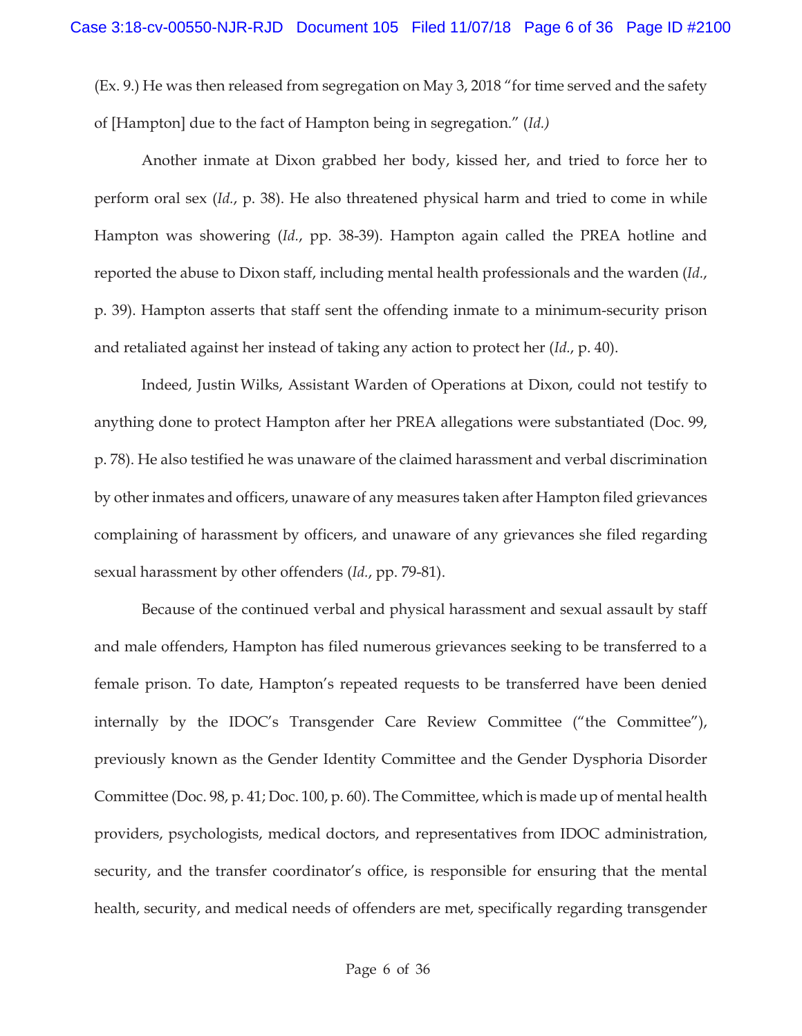(Ex. 9.) He was then released from segregation on May 3, 2018 "for time served and the safety of [Hampton] due to the fact of Hampton being in segregation." (*Id.)*

Another inmate at Dixon grabbed her body, kissed her, and tried to force her to perform oral sex (*Id.*, p. 38). He also threatened physical harm and tried to come in while Hampton was showering (*Id.*, pp. 38-39). Hampton again called the PREA hotline and reported the abuse to Dixon staff, including mental health professionals and the warden (*Id.*, p. 39). Hampton asserts that staff sent the offending inmate to a minimum-security prison and retaliated against her instead of taking any action to protect her (*Id.*, p. 40).

Indeed, Justin Wilks, Assistant Warden of Operations at Dixon, could not testify to anything done to protect Hampton after her PREA allegations were substantiated (Doc. 99, p. 78). He also testified he was unaware of the claimed harassment and verbal discrimination by other inmates and officers, unaware of any measures taken after Hampton filed grievances complaining of harassment by officers, and unaware of any grievances she filed regarding sexual harassment by other offenders (*Id.*, pp. 79-81).

Because of the continued verbal and physical harassment and sexual assault by staff and male offenders, Hampton has filed numerous grievances seeking to be transferred to a female prison. To date, Hampton's repeated requests to be transferred have been denied internally by the IDOC's Transgender Care Review Committee ("the Committee"), previously known as the Gender Identity Committee and the Gender Dysphoria Disorder Committee (Doc. 98, p. 41; Doc. 100, p. 60). The Committee, which is made up of mental health providers, psychologists, medical doctors, and representatives from IDOC administration, security, and the transfer coordinator's office, is responsible for ensuring that the mental health, security, and medical needs of offenders are met, specifically regarding transgender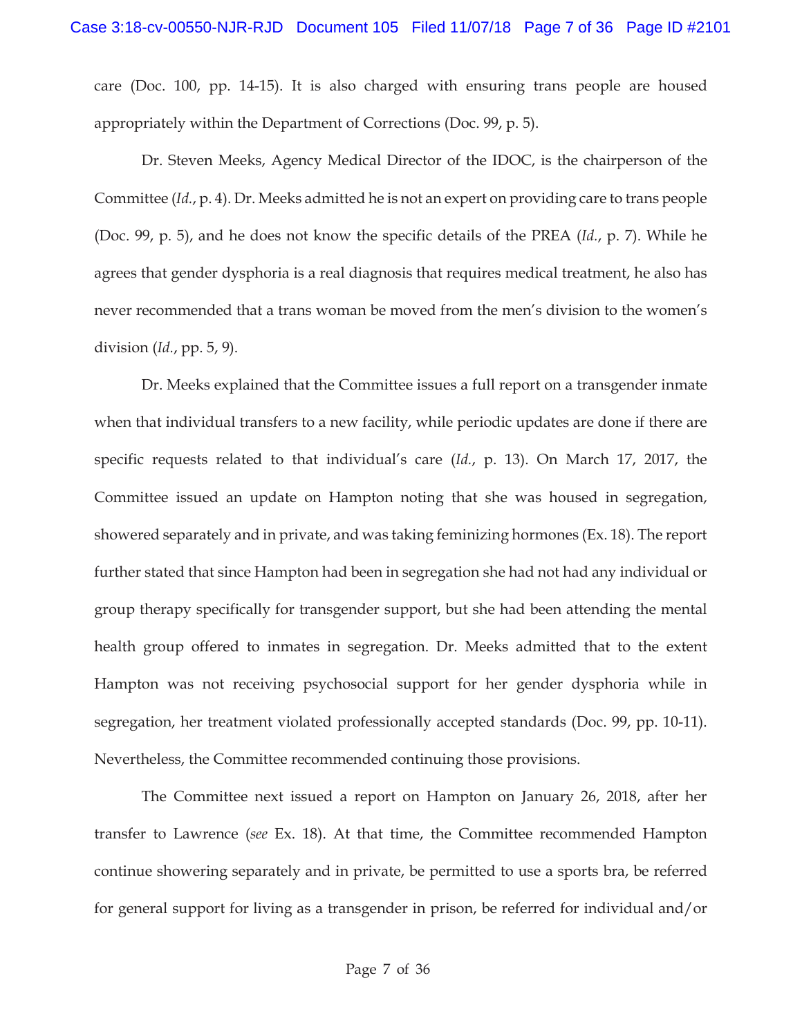care (Doc. 100, pp. 14-15). It is also charged with ensuring trans people are housed appropriately within the Department of Corrections (Doc. 99, p. 5).

Dr. Steven Meeks, Agency Medical Director of the IDOC, is the chairperson of the Committee (*Id.*, p. 4). Dr. Meeks admitted he is not an expert on providing care to trans people (Doc. 99, p. 5), and he does not know the specific details of the PREA (*Id.*, p. 7). While he agrees that gender dysphoria is a real diagnosis that requires medical treatment, he also has never recommended that a trans woman be moved from the men's division to the women's division (*Id.*, pp. 5, 9).

Dr. Meeks explained that the Committee issues a full report on a transgender inmate when that individual transfers to a new facility, while periodic updates are done if there are specific requests related to that individual's care (*Id.*, p. 13). On March 17, 2017, the Committee issued an update on Hampton noting that she was housed in segregation, showered separately and in private, and was taking feminizing hormones (Ex. 18). The report further stated that since Hampton had been in segregation she had not had any individual or group therapy specifically for transgender support, but she had been attending the mental health group offered to inmates in segregation. Dr. Meeks admitted that to the extent Hampton was not receiving psychosocial support for her gender dysphoria while in segregation, her treatment violated professionally accepted standards (Doc. 99, pp. 10-11). Nevertheless, the Committee recommended continuing those provisions.

The Committee next issued a report on Hampton on January 26, 2018, after her transfer to Lawrence (*see* Ex. 18). At that time, the Committee recommended Hampton continue showering separately and in private, be permitted to use a sports bra, be referred for general support for living as a transgender in prison, be referred for individual and/or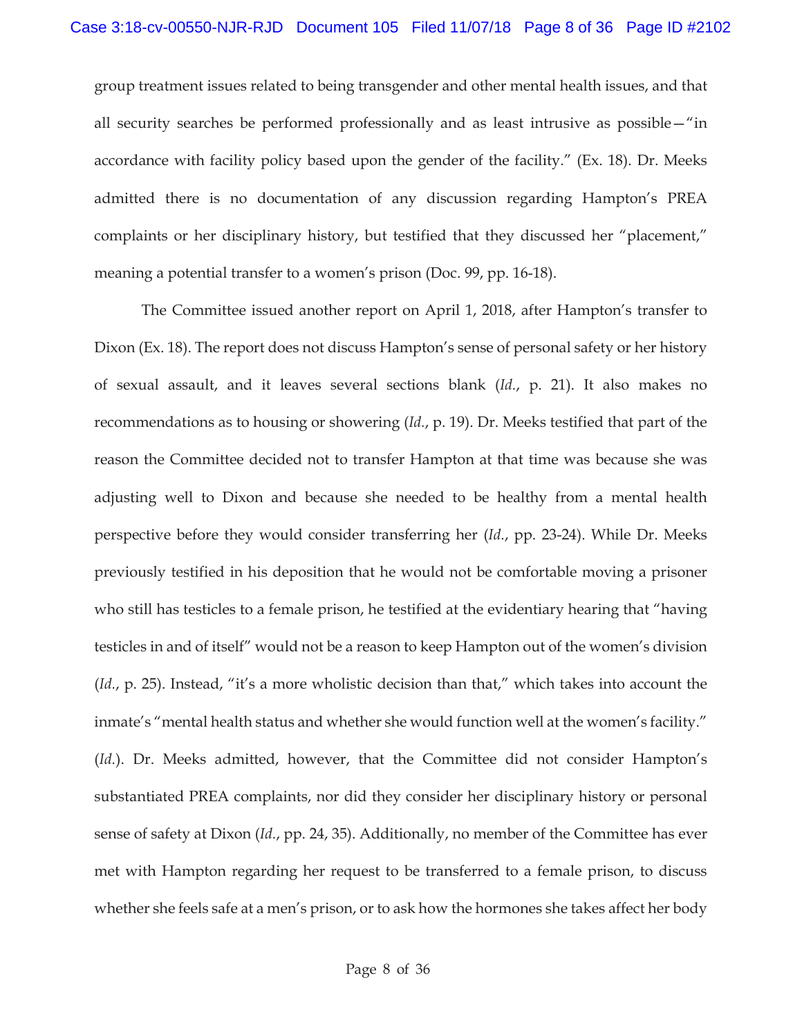group treatment issues related to being transgender and other mental health issues, and that all security searches be performed professionally and as least intrusive as possible—"in accordance with facility policy based upon the gender of the facility." (Ex. 18). Dr. Meeks admitted there is no documentation of any discussion regarding Hampton's PREA complaints or her disciplinary history, but testified that they discussed her "placement," meaning a potential transfer to a women's prison (Doc. 99, pp. 16-18).

The Committee issued another report on April 1, 2018, after Hampton's transfer to Dixon (Ex. 18). The report does not discuss Hampton's sense of personal safety or her history of sexual assault, and it leaves several sections blank (*Id.*, p. 21). It also makes no recommendations as to housing or showering (*Id.*, p. 19). Dr. Meeks testified that part of the reason the Committee decided not to transfer Hampton at that time was because she was adjusting well to Dixon and because she needed to be healthy from a mental health perspective before they would consider transferring her (*Id.*, pp. 23-24). While Dr. Meeks previously testified in his deposition that he would not be comfortable moving a prisoner who still has testicles to a female prison, he testified at the evidentiary hearing that "having testicles in and of itself" would not be a reason to keep Hampton out of the women's division (*Id.*, p. 25). Instead, "it's a more wholistic decision than that," which takes into account the inmate's "mental health status and whether she would function well at the women's facility." (*Id.*). Dr. Meeks admitted, however, that the Committee did not consider Hampton's substantiated PREA complaints, nor did they consider her disciplinary history or personal sense of safety at Dixon (*Id.*, pp. 24, 35). Additionally, no member of the Committee has ever met with Hampton regarding her request to be transferred to a female prison, to discuss whether she feels safe at a men's prison, or to ask how the hormones she takes affect her body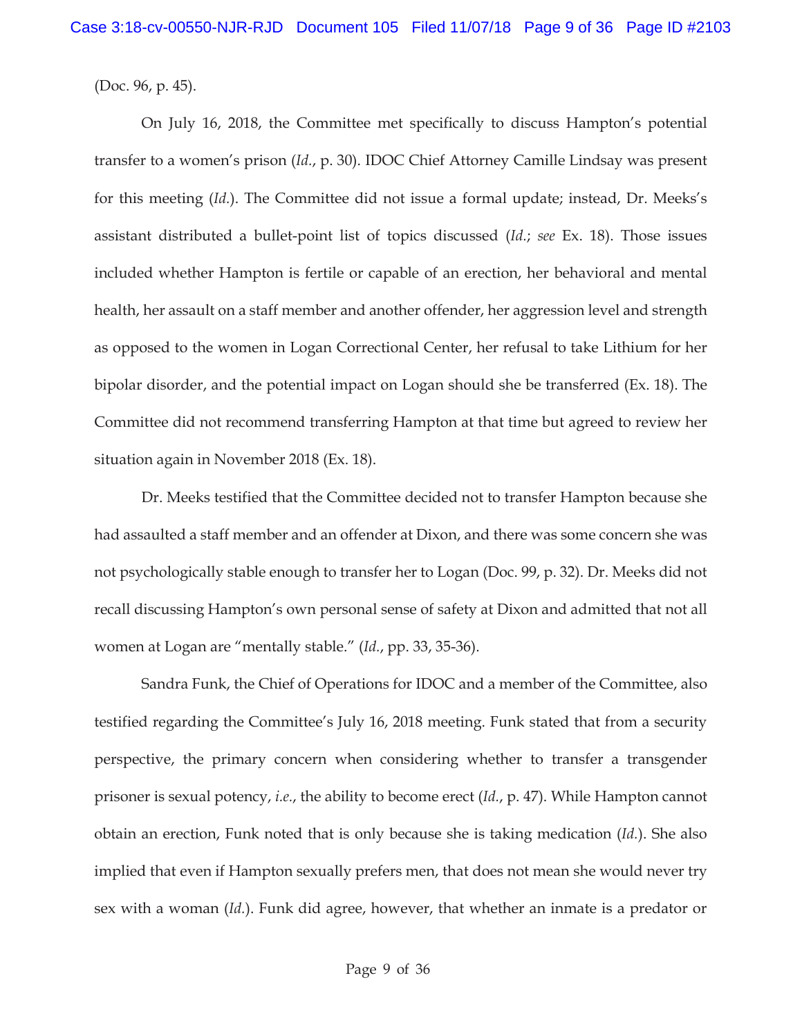(Doc. 96, p. 45).

On July 16, 2018, the Committee met specifically to discuss Hampton's potential transfer to a women's prison (*Id.*, p. 30). IDOC Chief Attorney Camille Lindsay was present for this meeting (*Id.*). The Committee did not issue a formal update; instead, Dr. Meeks's assistant distributed a bullet-point list of topics discussed (*Id.*; *see* Ex. 18). Those issues included whether Hampton is fertile or capable of an erection, her behavioral and mental health, her assault on a staff member and another offender, her aggression level and strength as opposed to the women in Logan Correctional Center, her refusal to take Lithium for her bipolar disorder, and the potential impact on Logan should she be transferred (Ex. 18). The Committee did not recommend transferring Hampton at that time but agreed to review her situation again in November 2018 (Ex. 18).

Dr. Meeks testified that the Committee decided not to transfer Hampton because she had assaulted a staff member and an offender at Dixon, and there was some concern she was not psychologically stable enough to transfer her to Logan (Doc. 99, p. 32). Dr. Meeks did not recall discussing Hampton's own personal sense of safety at Dixon and admitted that not all women at Logan are "mentally stable." (*Id.*, pp. 33, 35-36).

Sandra Funk, the Chief of Operations for IDOC and a member of the Committee, also testified regarding the Committee's July 16, 2018 meeting. Funk stated that from a security perspective, the primary concern when considering whether to transfer a transgender prisoner is sexual potency, *i.e.*, the ability to become erect (*Id.*, p. 47). While Hampton cannot obtain an erection, Funk noted that is only because she is taking medication (*Id.*). She also implied that even if Hampton sexually prefers men, that does not mean she would never try sex with a woman (*Id.*). Funk did agree, however, that whether an inmate is a predator or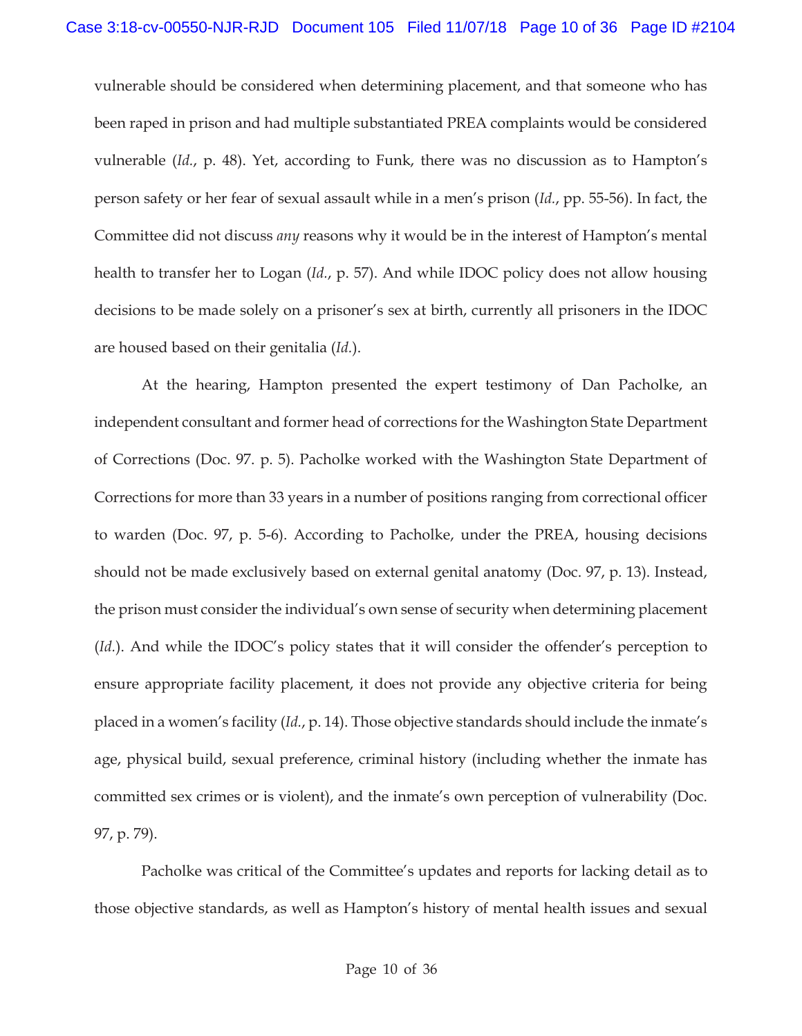vulnerable should be considered when determining placement, and that someone who has been raped in prison and had multiple substantiated PREA complaints would be considered vulnerable (*Id.*, p. 48). Yet, according to Funk, there was no discussion as to Hampton's person safety or her fear of sexual assault while in a men's prison (*Id.*, pp. 55-56). In fact, the Committee did not discuss *any* reasons why it would be in the interest of Hampton's mental health to transfer her to Logan (*Id.*, p. 57). And while IDOC policy does not allow housing decisions to be made solely on a prisoner's sex at birth, currently all prisoners in the IDOC are housed based on their genitalia (*Id.*).

 At the hearing, Hampton presented the expert testimony of Dan Pacholke, an independent consultant and former head of corrections for the Washington State Department of Corrections (Doc. 97. p. 5). Pacholke worked with the Washington State Department of Corrections for more than 33 years in a number of positions ranging from correctional officer to warden (Doc. 97, p. 5-6). According to Pacholke, under the PREA, housing decisions should not be made exclusively based on external genital anatomy (Doc. 97, p. 13). Instead, the prison must consider the individual's own sense of security when determining placement (*Id.*). And while the IDOC's policy states that it will consider the offender's perception to ensure appropriate facility placement, it does not provide any objective criteria for being placed in a women's facility (*Id.*, p. 14). Those objective standards should include the inmate's age, physical build, sexual preference, criminal history (including whether the inmate has committed sex crimes or is violent), and the inmate's own perception of vulnerability (Doc. 97, p. 79).

Pacholke was critical of the Committee's updates and reports for lacking detail as to those objective standards, as well as Hampton's history of mental health issues and sexual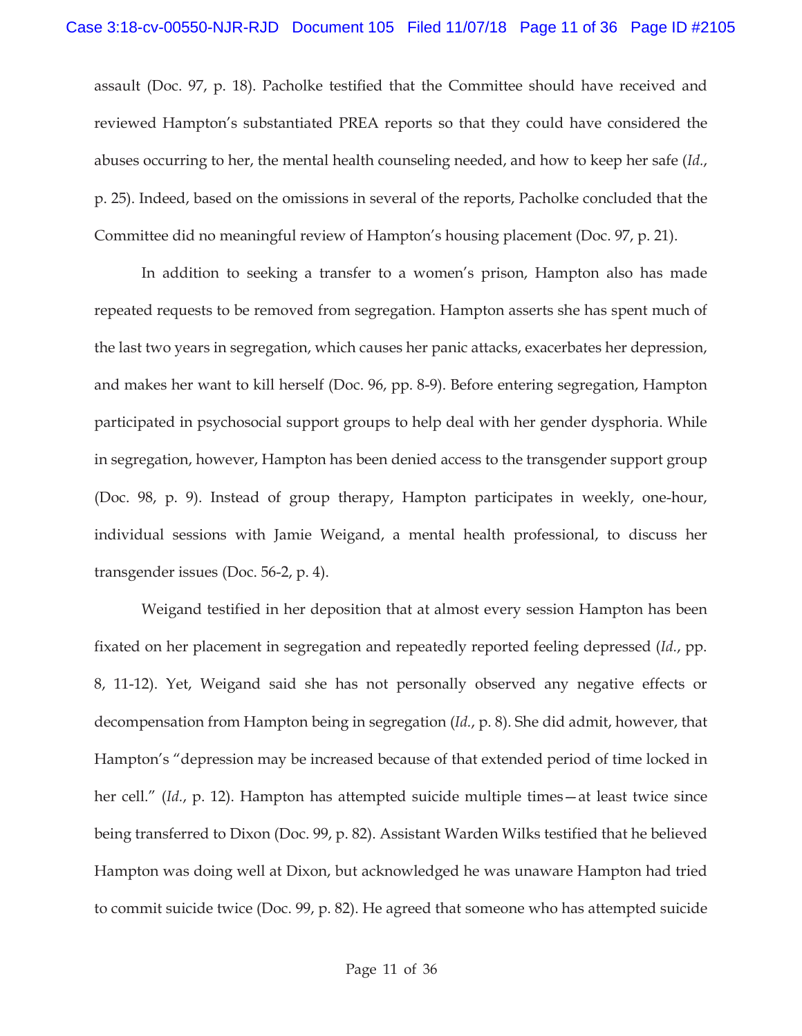assault (Doc. 97, p. 18). Pacholke testified that the Committee should have received and reviewed Hampton's substantiated PREA reports so that they could have considered the abuses occurring to her, the mental health counseling needed, and how to keep her safe (*Id.*, p. 25). Indeed, based on the omissions in several of the reports, Pacholke concluded that the Committee did no meaningful review of Hampton's housing placement (Doc. 97, p. 21).

In addition to seeking a transfer to a women's prison, Hampton also has made repeated requests to be removed from segregation. Hampton asserts she has spent much of the last two years in segregation, which causes her panic attacks, exacerbates her depression, and makes her want to kill herself (Doc. 96, pp. 8-9). Before entering segregation, Hampton participated in psychosocial support groups to help deal with her gender dysphoria. While in segregation, however, Hampton has been denied access to the transgender support group (Doc. 98, p. 9). Instead of group therapy, Hampton participates in weekly, one-hour, individual sessions with Jamie Weigand, a mental health professional, to discuss her transgender issues (Doc. 56-2, p. 4).

Weigand testified in her deposition that at almost every session Hampton has been fixated on her placement in segregation and repeatedly reported feeling depressed (*Id.*, pp. 8, 11-12). Yet, Weigand said she has not personally observed any negative effects or decompensation from Hampton being in segregation (*Id.*, p. 8). She did admit, however, that Hampton's "depression may be increased because of that extended period of time locked in her cell." (*Id.*, p. 12). Hampton has attempted suicide multiple times—at least twice since being transferred to Dixon (Doc. 99, p. 82). Assistant Warden Wilks testified that he believed Hampton was doing well at Dixon, but acknowledged he was unaware Hampton had tried to commit suicide twice (Doc. 99, p. 82). He agreed that someone who has attempted suicide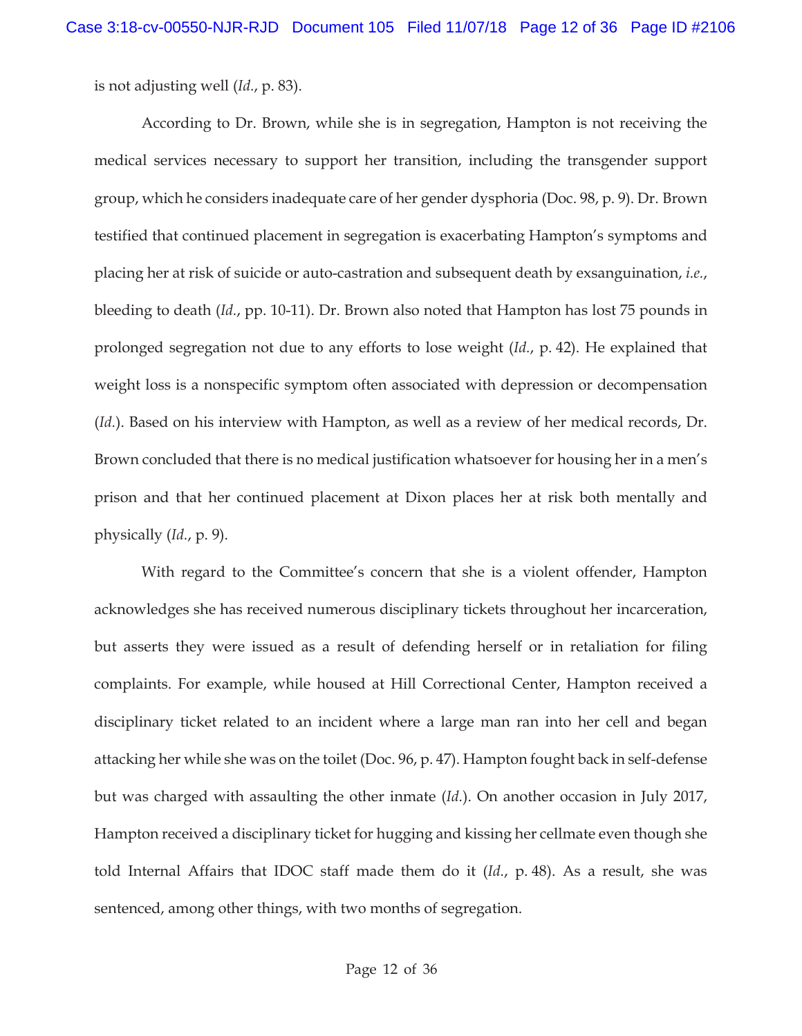is not adjusting well (*Id.*, p. 83).

According to Dr. Brown, while she is in segregation, Hampton is not receiving the medical services necessary to support her transition, including the transgender support group, which he considers inadequate care of her gender dysphoria (Doc. 98, p. 9). Dr. Brown testified that continued placement in segregation is exacerbating Hampton's symptoms and placing her at risk of suicide or auto-castration and subsequent death by exsanguination, *i.e.*, bleeding to death (*Id.*, pp. 10-11). Dr. Brown also noted that Hampton has lost 75 pounds in prolonged segregation not due to any efforts to lose weight (*Id.*, p. 42). He explained that weight loss is a nonspecific symptom often associated with depression or decompensation (*Id.*). Based on his interview with Hampton, as well as a review of her medical records, Dr. Brown concluded that there is no medical justification whatsoever for housing her in a men's prison and that her continued placement at Dixon places her at risk both mentally and physically (*Id.*, p. 9).

With regard to the Committee's concern that she is a violent offender, Hampton acknowledges she has received numerous disciplinary tickets throughout her incarceration, but asserts they were issued as a result of defending herself or in retaliation for filing complaints. For example, while housed at Hill Correctional Center, Hampton received a disciplinary ticket related to an incident where a large man ran into her cell and began attacking her while she was on the toilet (Doc. 96, p. 47). Hampton fought back in self-defense but was charged with assaulting the other inmate (*Id.*). On another occasion in July 2017, Hampton received a disciplinary ticket for hugging and kissing her cellmate even though she told Internal Affairs that IDOC staff made them do it (*Id.*, p. 48). As a result, she was sentenced, among other things, with two months of segregation.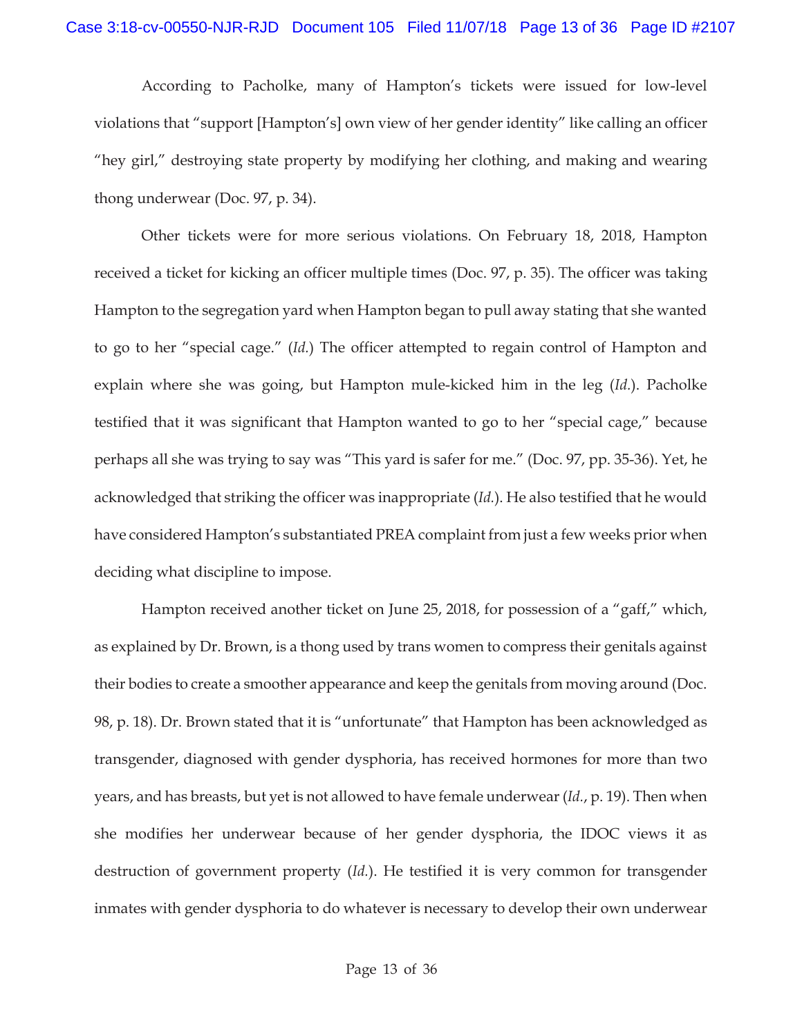According to Pacholke, many of Hampton's tickets were issued for low-level violations that "support [Hampton's] own view of her gender identity" like calling an officer "hey girl," destroying state property by modifying her clothing, and making and wearing thong underwear (Doc. 97, p. 34).

Other tickets were for more serious violations. On February 18, 2018, Hampton received a ticket for kicking an officer multiple times (Doc. 97, p. 35). The officer was taking Hampton to the segregation yard when Hampton began to pull away stating that she wanted to go to her "special cage." (*Id.*) The officer attempted to regain control of Hampton and explain where she was going, but Hampton mule-kicked him in the leg (*Id.*). Pacholke testified that it was significant that Hampton wanted to go to her "special cage," because perhaps all she was trying to say was "This yard is safer for me." (Doc. 97, pp. 35-36). Yet, he acknowledged that striking the officer was inappropriate (*Id.*). He also testified that he would have considered Hampton's substantiated PREA complaint from just a few weeks prior when deciding what discipline to impose.

Hampton received another ticket on June 25, 2018, for possession of a "gaff," which, as explained by Dr. Brown, is a thong used by trans women to compress their genitals against their bodies to create a smoother appearance and keep the genitals from moving around (Doc. 98, p. 18). Dr. Brown stated that it is "unfortunate" that Hampton has been acknowledged as transgender, diagnosed with gender dysphoria, has received hormones for more than two years, and has breasts, but yet is not allowed to have female underwear (*Id.*, p. 19). Then when she modifies her underwear because of her gender dysphoria, the IDOC views it as destruction of government property (*Id.*). He testified it is very common for transgender inmates with gender dysphoria to do whatever is necessary to develop their own underwear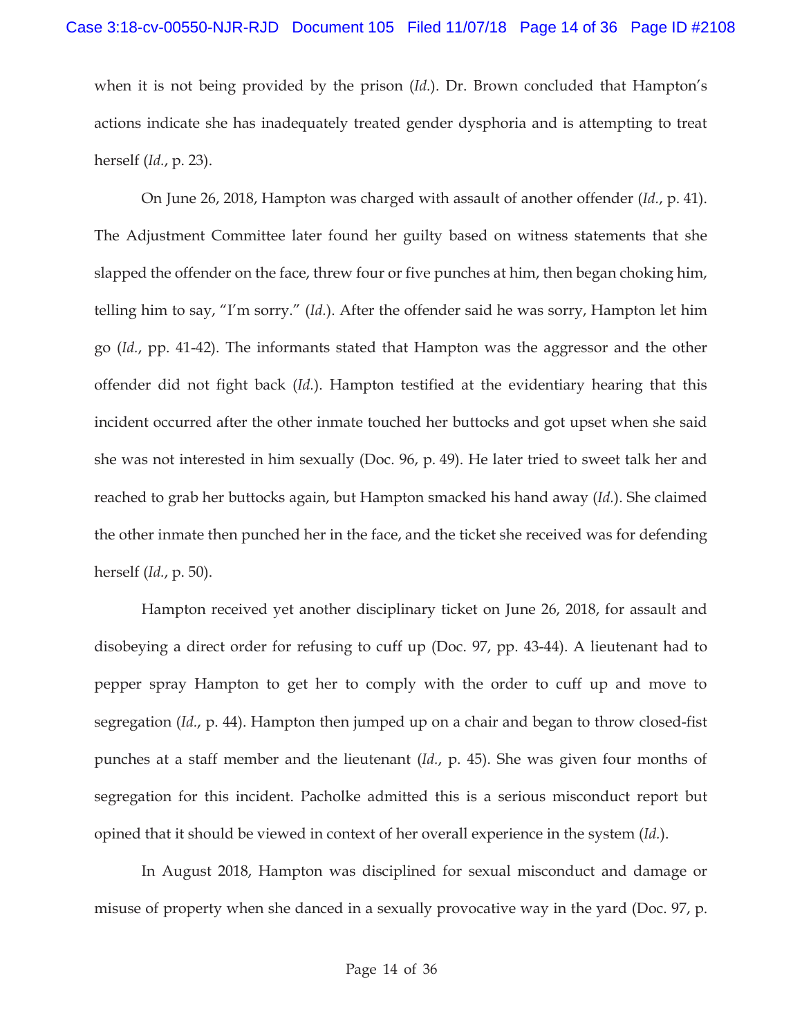when it is not being provided by the prison (*Id.*). Dr. Brown concluded that Hampton's actions indicate she has inadequately treated gender dysphoria and is attempting to treat herself (*Id.*, p. 23).

On June 26, 2018, Hampton was charged with assault of another offender (*Id.*, p. 41). The Adjustment Committee later found her guilty based on witness statements that she slapped the offender on the face, threw four or five punches at him, then began choking him, telling him to say, "I'm sorry." (*Id.*). After the offender said he was sorry, Hampton let him go (*Id.*, pp. 41-42). The informants stated that Hampton was the aggressor and the other offender did not fight back (*Id.*). Hampton testified at the evidentiary hearing that this incident occurred after the other inmate touched her buttocks and got upset when she said she was not interested in him sexually (Doc. 96, p. 49). He later tried to sweet talk her and reached to grab her buttocks again, but Hampton smacked his hand away (*Id.*). She claimed the other inmate then punched her in the face, and the ticket she received was for defending herself (*Id.*, p. 50).

Hampton received yet another disciplinary ticket on June 26, 2018, for assault and disobeying a direct order for refusing to cuff up (Doc. 97, pp. 43-44). A lieutenant had to pepper spray Hampton to get her to comply with the order to cuff up and move to segregation (*Id.*, p. 44). Hampton then jumped up on a chair and began to throw closed-fist punches at a staff member and the lieutenant (*Id.*, p. 45). She was given four months of segregation for this incident. Pacholke admitted this is a serious misconduct report but opined that it should be viewed in context of her overall experience in the system (*Id.*).

In August 2018, Hampton was disciplined for sexual misconduct and damage or misuse of property when she danced in a sexually provocative way in the yard (Doc. 97, p.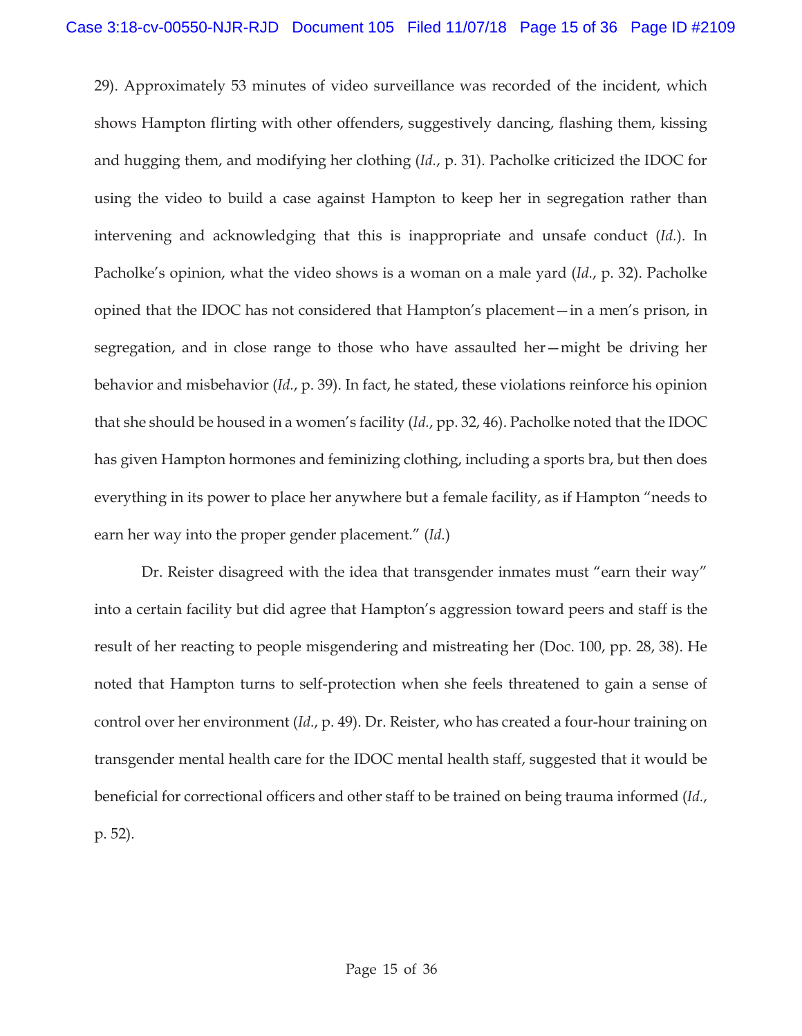29). Approximately 53 minutes of video surveillance was recorded of the incident, which shows Hampton flirting with other offenders, suggestively dancing, flashing them, kissing and hugging them, and modifying her clothing (*Id.*, p. 31). Pacholke criticized the IDOC for using the video to build a case against Hampton to keep her in segregation rather than intervening and acknowledging that this is inappropriate and unsafe conduct (*Id.*). In Pacholke's opinion, what the video shows is a woman on a male yard (*Id.*, p. 32). Pacholke opined that the IDOC has not considered that Hampton's placement—in a men's prison, in segregation, and in close range to those who have assaulted her—might be driving her behavior and misbehavior (*Id.*, p. 39). In fact, he stated, these violations reinforce his opinion that she should be housed in a women's facility (*Id.*, pp. 32, 46). Pacholke noted that the IDOC has given Hampton hormones and feminizing clothing, including a sports bra, but then does everything in its power to place her anywhere but a female facility, as if Hampton "needs to earn her way into the proper gender placement." (*Id.*)

Dr. Reister disagreed with the idea that transgender inmates must "earn their way" into a certain facility but did agree that Hampton's aggression toward peers and staff is the result of her reacting to people misgendering and mistreating her (Doc. 100, pp. 28, 38). He noted that Hampton turns to self-protection when she feels threatened to gain a sense of control over her environment (*Id.*, p. 49). Dr. Reister, who has created a four-hour training on transgender mental health care for the IDOC mental health staff, suggested that it would be beneficial for correctional officers and other staff to be trained on being trauma informed (*Id.*, p. 52).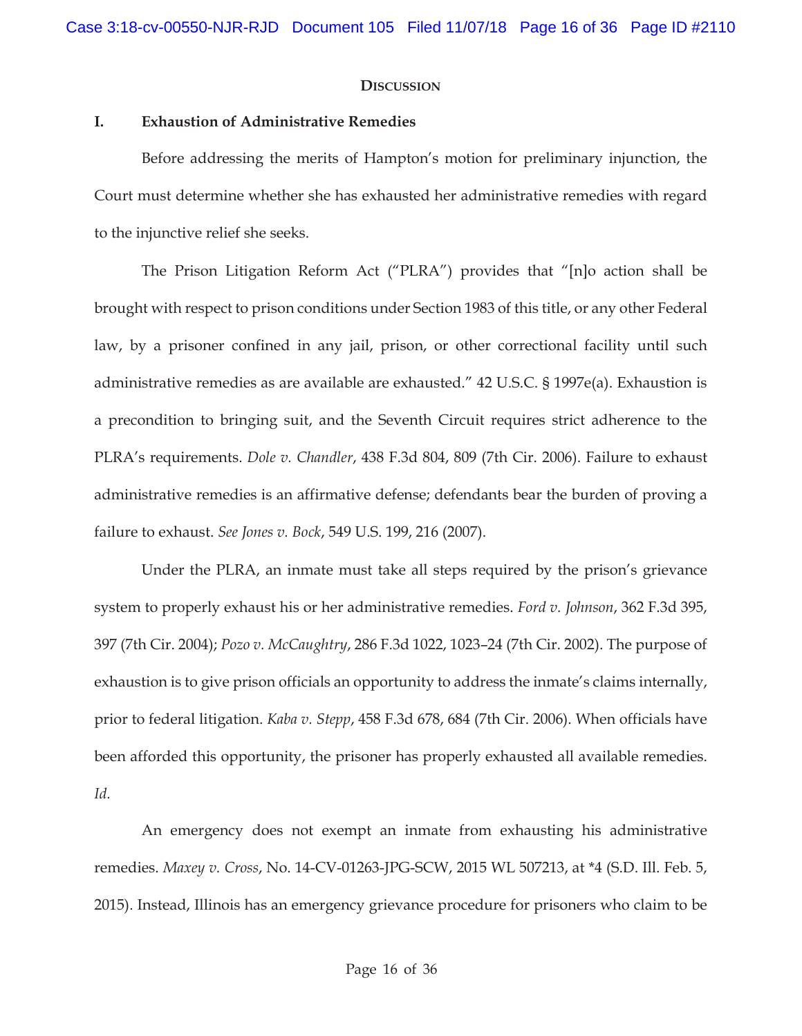#### **DISCUSSION**

#### **I. Exhaustion of Administrative Remedies**

Before addressing the merits of Hampton's motion for preliminary injunction, the Court must determine whether she has exhausted her administrative remedies with regard to the injunctive relief she seeks.

The Prison Litigation Reform Act ("PLRA") provides that "[n]o action shall be brought with respect to prison conditions under Section 1983 of this title, or any other Federal law, by a prisoner confined in any jail, prison, or other correctional facility until such administrative remedies as are available are exhausted." 42 U.S.C. § 1997e(a). Exhaustion is a precondition to bringing suit, and the Seventh Circuit requires strict adherence to the PLRA's requirements. *Dole v. Chandler*, 438 F.3d 804, 809 (7th Cir. 2006). Failure to exhaust administrative remedies is an affirmative defense; defendants bear the burden of proving a failure to exhaust. *See Jones v. Bock*, 549 U.S. 199, 216 (2007).

Under the PLRA, an inmate must take all steps required by the prison's grievance system to properly exhaust his or her administrative remedies. *Ford v. Johnson*, 362 F.3d 395, 397 (7th Cir. 2004); *Pozo v. McCaughtry*, 286 F.3d 1022, 1023–24 (7th Cir. 2002). The purpose of exhaustion is to give prison officials an opportunity to address the inmate's claims internally, prior to federal litigation. *Kaba v. Stepp*, 458 F.3d 678, 684 (7th Cir. 2006). When officials have been afforded this opportunity, the prisoner has properly exhausted all available remedies. *Id.*

 An emergency does not exempt an inmate from exhausting his administrative remedies. *Maxey v. Cross*, No. 14-CV-01263-JPG-SCW, 2015 WL 507213, at \*4 (S.D. Ill. Feb. 5, 2015). Instead, Illinois has an emergency grievance procedure for prisoners who claim to be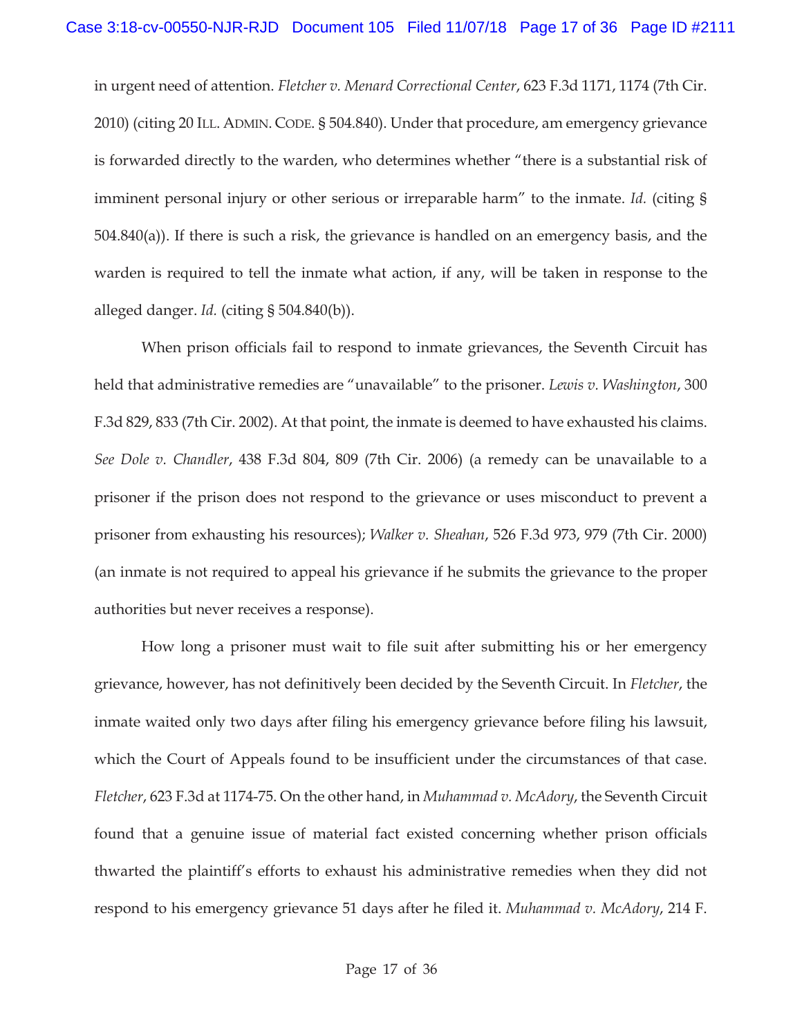in urgent need of attention. *Fletcher v. Menard Correctional Center*, 623 F.3d 1171, 1174 (7th Cir. 2010) (citing 20 ILL. ADMIN. CODE. § 504.840). Under that procedure, am emergency grievance is forwarded directly to the warden, who determines whether "there is a substantial risk of imminent personal injury or other serious or irreparable harm" to the inmate. *Id.* (citing § 504.840(a)). If there is such a risk, the grievance is handled on an emergency basis, and the warden is required to tell the inmate what action, if any, will be taken in response to the alleged danger. *Id.* (citing § 504.840(b)).

When prison officials fail to respond to inmate grievances, the Seventh Circuit has held that administrative remedies are "unavailable" to the prisoner. *Lewis v. Washington*, 300 F.3d 829, 833 (7th Cir. 2002). At that point, the inmate is deemed to have exhausted his claims. *See Dole v. Chandler*, 438 F.3d 804, 809 (7th Cir. 2006) (a remedy can be unavailable to a prisoner if the prison does not respond to the grievance or uses misconduct to prevent a prisoner from exhausting his resources); *Walker v. Sheahan*, 526 F.3d 973, 979 (7th Cir. 2000) (an inmate is not required to appeal his grievance if he submits the grievance to the proper authorities but never receives a response).

How long a prisoner must wait to file suit after submitting his or her emergency grievance, however, has not definitively been decided by the Seventh Circuit. In *Fletcher*, the inmate waited only two days after filing his emergency grievance before filing his lawsuit, which the Court of Appeals found to be insufficient under the circumstances of that case. *Fletcher*, 623 F.3d at 1174-75. On the other hand, in *Muhammad v. McAdory*, the Seventh Circuit found that a genuine issue of material fact existed concerning whether prison officials thwarted the plaintiff's efforts to exhaust his administrative remedies when they did not respond to his emergency grievance 51 days after he filed it. *Muhammad v. McAdory*, 214 F.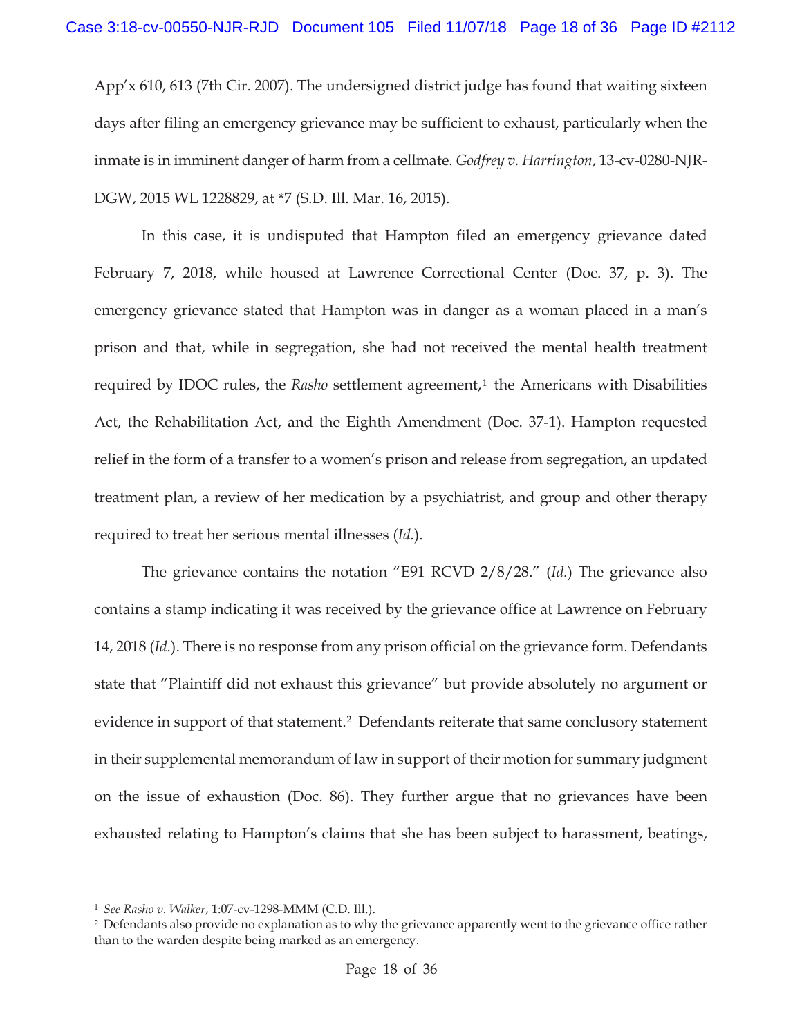App'x 610, 613 (7th Cir. 2007). The undersigned district judge has found that waiting sixteen days after filing an emergency grievance may be sufficient to exhaust, particularly when the inmate is in imminent danger of harm from a cellmate. *Godfrey v. Harrington*, 13-cv-0280-NJR-DGW, 2015 WL 1228829, at \*7 (S.D. Ill. Mar. 16, 2015).

In this case, it is undisputed that Hampton filed an emergency grievance dated February 7, 2018, while housed at Lawrence Correctional Center (Doc. 37, p. 3). The emergency grievance stated that Hampton was in danger as a woman placed in a man's prison and that, while in segregation, she had not received the mental health treatment required by IDOC rules, the *Rasho* settlement agreement,<sup>1</sup> the Americans with Disabilities Act, the Rehabilitation Act, and the Eighth Amendment (Doc. 37-1). Hampton requested relief in the form of a transfer to a women's prison and release from segregation, an updated treatment plan, a review of her medication by a psychiatrist, and group and other therapy required to treat her serious mental illnesses (*Id.*).

The grievance contains the notation "E91 RCVD 2/8/28." (*Id.*) The grievance also contains a stamp indicating it was received by the grievance office at Lawrence on February 14, 2018 (*Id.*). There is no response from any prison official on the grievance form. Defendants state that "Plaintiff did not exhaust this grievance" but provide absolutely no argument or evidence in support of that statement.<sup>2</sup> Defendants reiterate that same conclusory statement in their supplemental memorandum of law in support of their motion for summary judgment on the issue of exhaustion (Doc. 86). They further argue that no grievances have been exhausted relating to Hampton's claims that she has been subject to harassment, beatings,

<sup>&</sup>lt;sup>1</sup> *See Rasho v. Walker*, 1:07-cv-1298-MMM (C.D. Ill.). 2 Defendants also provide no explanation as to why the grievance apparently went to the grievance office rather than to the warden despite being marked as an emergency.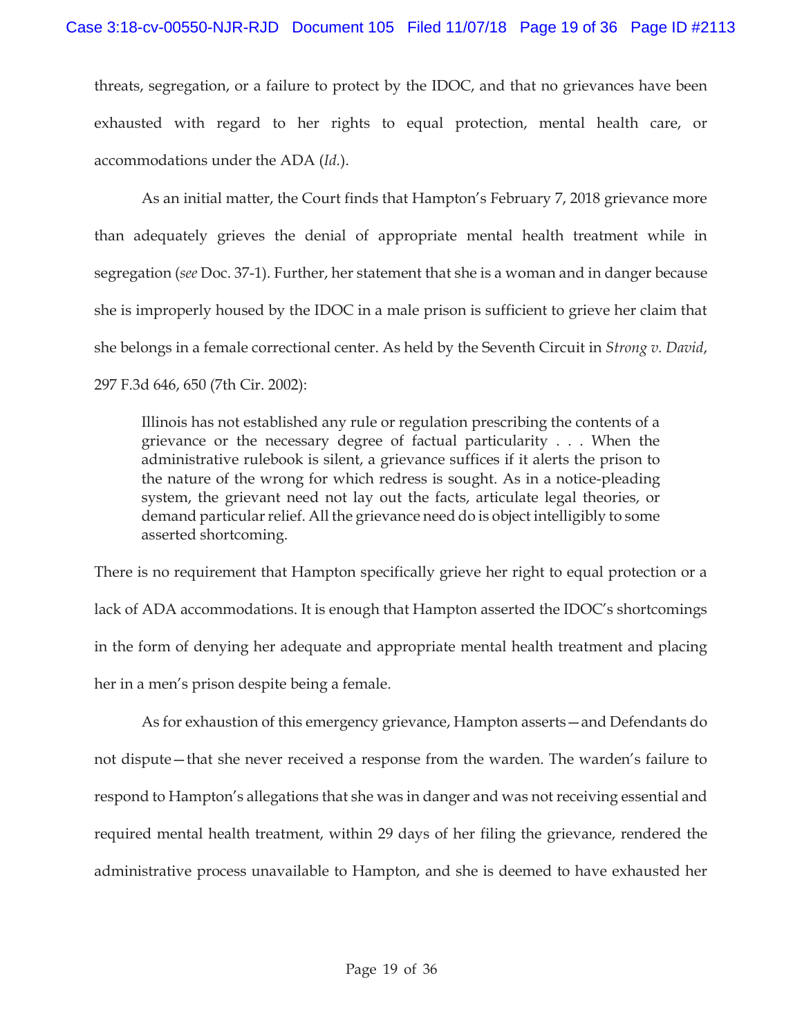threats, segregation, or a failure to protect by the IDOC, and that no grievances have been exhausted with regard to her rights to equal protection, mental health care, or accommodations under the ADA (*Id.*).

As an initial matter, the Court finds that Hampton's February 7, 2018 grievance more than adequately grieves the denial of appropriate mental health treatment while in segregation (*see* Doc. 37-1). Further, her statement that she is a woman and in danger because she is improperly housed by the IDOC in a male prison is sufficient to grieve her claim that she belongs in a female correctional center. As held by the Seventh Circuit in *Strong v. David*, 297 F.3d 646, 650 (7th Cir. 2002):

Illinois has not established any rule or regulation prescribing the contents of a grievance or the necessary degree of factual particularity . . . When the administrative rulebook is silent, a grievance suffices if it alerts the prison to the nature of the wrong for which redress is sought. As in a notice-pleading system, the grievant need not lay out the facts, articulate legal theories, or demand particular relief. All the grievance need do is object intelligibly to some asserted shortcoming.

There is no requirement that Hampton specifically grieve her right to equal protection or a lack of ADA accommodations. It is enough that Hampton asserted the IDOC's shortcomings in the form of denying her adequate and appropriate mental health treatment and placing her in a men's prison despite being a female.

 As for exhaustion of this emergency grievance, Hampton asserts—and Defendants do not dispute—that she never received a response from the warden. The warden's failure to respond to Hampton's allegations that she was in danger and was not receiving essential and required mental health treatment, within 29 days of her filing the grievance, rendered the administrative process unavailable to Hampton, and she is deemed to have exhausted her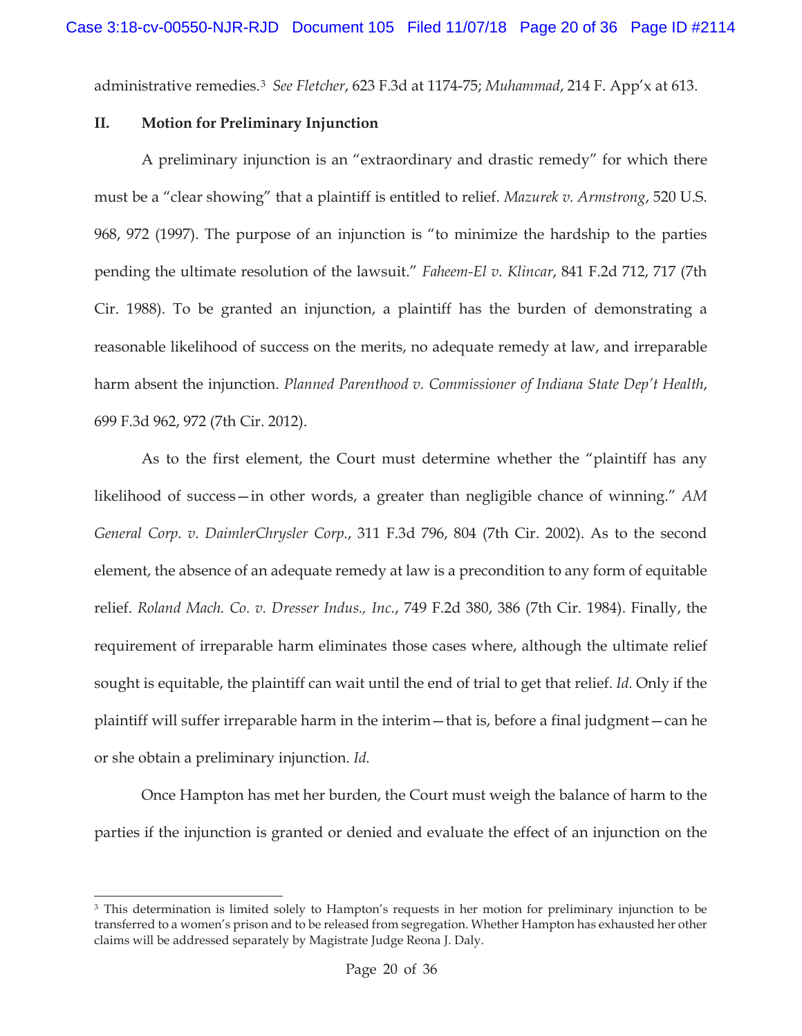administrative remedies.3 *See Fletcher*, 623 F.3d at 1174-75; *Muhammad*, 214 F. App'x at 613.

#### **II. Motion for Preliminary Injunction**

A preliminary injunction is an "extraordinary and drastic remedy" for which there must be a "clear showing" that a plaintiff is entitled to relief. *Mazurek v. Armstrong*, 520 U.S. 968, 972 (1997). The purpose of an injunction is "to minimize the hardship to the parties pending the ultimate resolution of the lawsuit." *Faheem-El v. Klincar*, 841 F.2d 712, 717 (7th Cir. 1988). To be granted an injunction, a plaintiff has the burden of demonstrating a reasonable likelihood of success on the merits, no adequate remedy at law, and irreparable harm absent the injunction. *Planned Parenthood v. Commissioner of Indiana State Dep't Health*, 699 F.3d 962, 972 (7th Cir. 2012).

As to the first element, the Court must determine whether the "plaintiff has any likelihood of success—in other words, a greater than negligible chance of winning." *AM General Corp. v. DaimlerChrysler Corp.*, 311 F.3d 796, 804 (7th Cir. 2002). As to the second element, the absence of an adequate remedy at law is a precondition to any form of equitable relief. *Roland Mach. Co. v. Dresser Indus., Inc.*, 749 F.2d 380, 386 (7th Cir. 1984). Finally, the requirement of irreparable harm eliminates those cases where, although the ultimate relief sought is equitable, the plaintiff can wait until the end of trial to get that relief. *Id.* Only if the plaintiff will suffer irreparable harm in the interim—that is, before a final judgment—can he or she obtain a preliminary injunction. *Id.*

Once Hampton has met her burden, the Court must weigh the balance of harm to the parties if the injunction is granted or denied and evaluate the effect of an injunction on the

<sup>&</sup>lt;sup>3</sup> This determination is limited solely to Hampton's requests in her motion for preliminary injunction to be transferred to a women's prison and to be released from segregation. Whether Hampton has exhausted her other claims will be addressed separately by Magistrate Judge Reona J. Daly.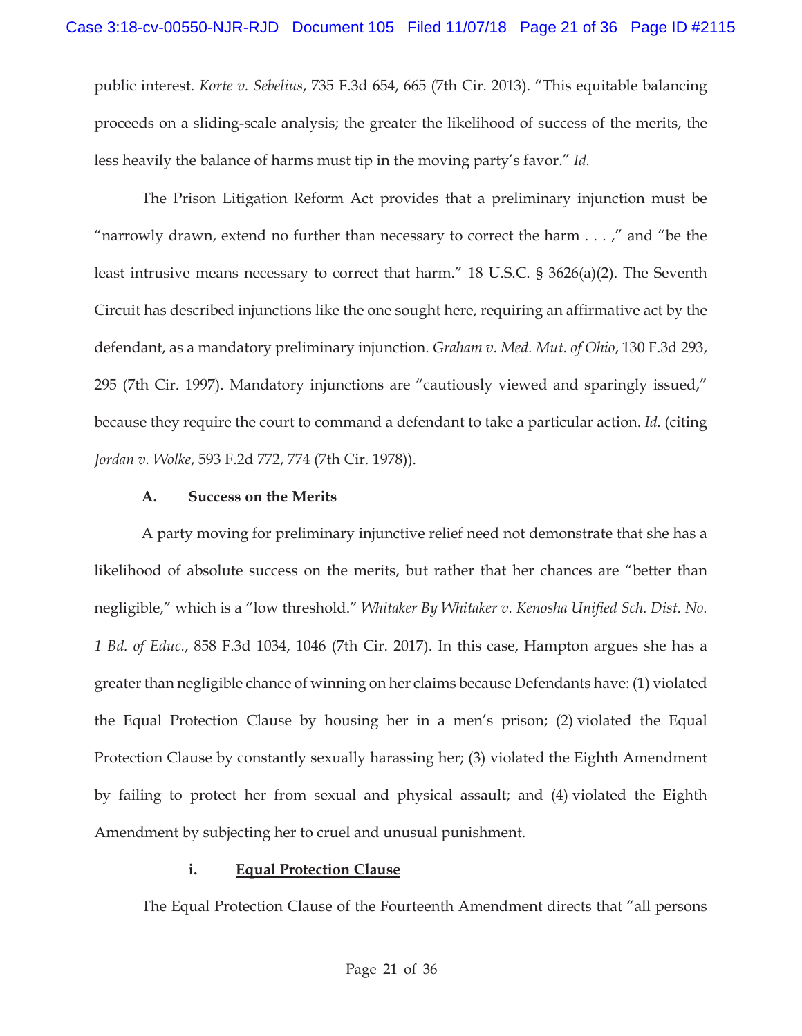public interest. *Korte v. Sebelius*, 735 F.3d 654, 665 (7th Cir. 2013). "This equitable balancing proceeds on a sliding-scale analysis; the greater the likelihood of success of the merits, the less heavily the balance of harms must tip in the moving party's favor." *Id.*

The Prison Litigation Reform Act provides that a preliminary injunction must be "narrowly drawn, extend no further than necessary to correct the harm  $\dots$ ," and "be the least intrusive means necessary to correct that harm." 18 U.S.C. § 3626(a)(2). The Seventh Circuit has described injunctions like the one sought here, requiring an affirmative act by the defendant, as a mandatory preliminary injunction. *Graham v. Med. Mut. of Ohio*, 130 F.3d 293, 295 (7th Cir. 1997). Mandatory injunctions are "cautiously viewed and sparingly issued," because they require the court to command a defendant to take a particular action. *Id.* (citing *Jordan v. Wolke*, 593 F.2d 772, 774 (7th Cir. 1978)).

### **A. Success on the Merits**

A party moving for preliminary injunctive relief need not demonstrate that she has a likelihood of absolute success on the merits, but rather that her chances are "better than negligible," which is a "low threshold." *Whitaker By Whitaker v. Kenosha Unified Sch. Dist. No. 1 Bd. of Educ.*, 858 F.3d 1034, 1046 (7th Cir. 2017). In this case, Hampton argues she has a greater than negligible chance of winning on her claims because Defendants have: (1) violated the Equal Protection Clause by housing her in a men's prison; (2) violated the Equal Protection Clause by constantly sexually harassing her; (3) violated the Eighth Amendment by failing to protect her from sexual and physical assault; and (4) violated the Eighth Amendment by subjecting her to cruel and unusual punishment.

## **i. Equal Protection Clause**

The Equal Protection Clause of the Fourteenth Amendment directs that "all persons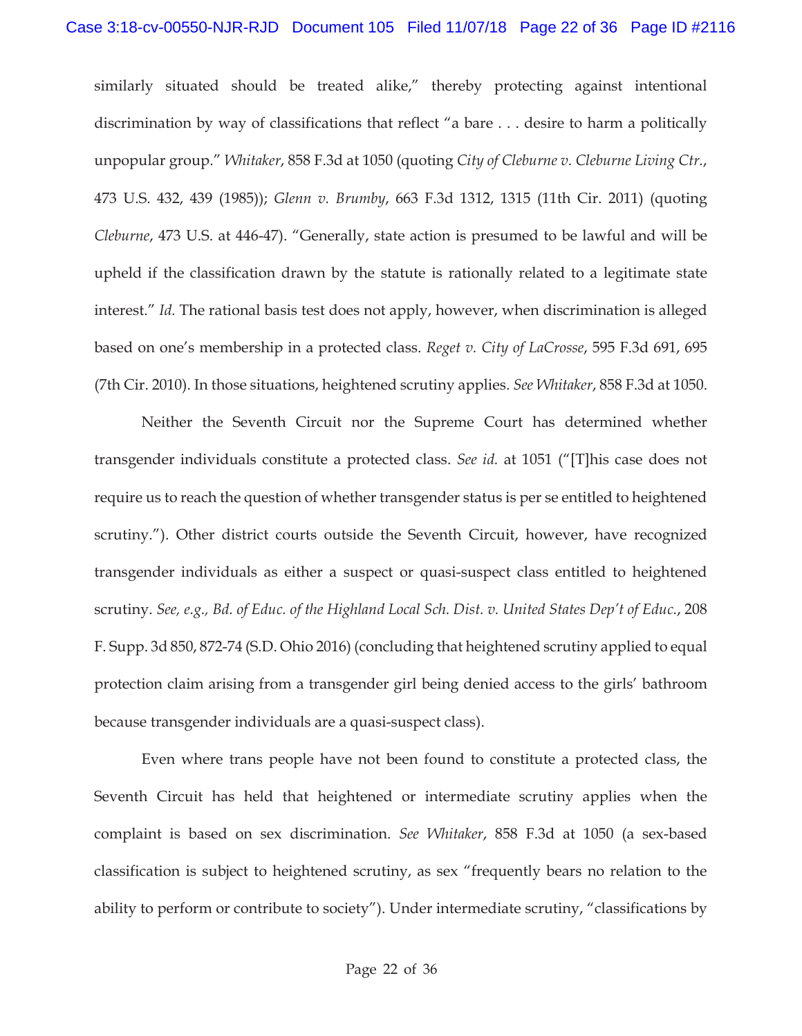similarly situated should be treated alike," thereby protecting against intentional discrimination by way of classifications that reflect "a bare . . . desire to harm a politically unpopular group." *Whitaker*, 858 F.3d at 1050 (quoting *City of Cleburne v. Cleburne Living Ctr.*, 473 U.S. 432, 439 (1985)); *Glenn v. Brumby*, 663 F.3d 1312, 1315 (11th Cir. 2011) (quoting *Cleburne*, 473 U.S. at 446-47). "Generally, state action is presumed to be lawful and will be upheld if the classification drawn by the statute is rationally related to a legitimate state interest." *Id.* The rational basis test does not apply, however, when discrimination is alleged based on one's membership in a protected class. *Reget v. City of LaCrosse*, 595 F.3d 691, 695 (7th Cir. 2010). In those situations, heightened scrutiny applies. *See Whitaker*, 858 F.3d at 1050.

Neither the Seventh Circuit nor the Supreme Court has determined whether transgender individuals constitute a protected class. *See id.* at 1051 ("[T]his case does not require us to reach the question of whether transgender status is per se entitled to heightened scrutiny."). Other district courts outside the Seventh Circuit, however, have recognized transgender individuals as either a suspect or quasi-suspect class entitled to heightened scrutiny. *See, e.g., Bd. of Educ. of the Highland Local Sch. Dist. v. United States Dep't of Educ.*, 208 F. Supp. 3d 850, 872-74 (S.D. Ohio 2016) (concluding that heightened scrutiny applied to equal protection claim arising from a transgender girl being denied access to the girls' bathroom because transgender individuals are a quasi-suspect class).

Even where trans people have not been found to constitute a protected class, the Seventh Circuit has held that heightened or intermediate scrutiny applies when the complaint is based on sex discrimination. *See Whitaker*, 858 F.3d at 1050 (a sex-based classification is subject to heightened scrutiny, as sex "frequently bears no relation to the ability to perform or contribute to society"). Under intermediate scrutiny, "classifications by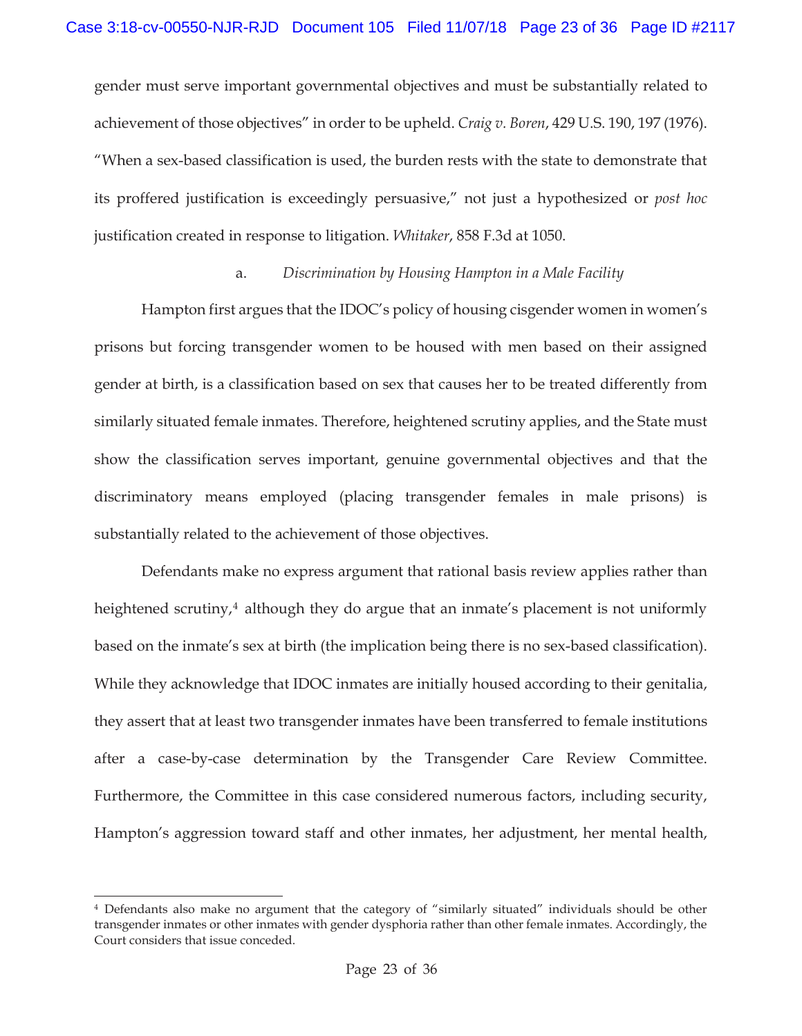gender must serve important governmental objectives and must be substantially related to achievement of those objectives" in order to be upheld. *Craig v. Boren*, 429 U.S. 190, 197 (1976). "When a sex-based classification is used, the burden rests with the state to demonstrate that its proffered justification is exceedingly persuasive," not just a hypothesized or *post hoc*  justification created in response to litigation. *Whitaker*, 858 F.3d at 1050.

### a. *Discrimination by Housing Hampton in a Male Facility*

Hampton first argues that the IDOC's policy of housing cisgender women in women's prisons but forcing transgender women to be housed with men based on their assigned gender at birth, is a classification based on sex that causes her to be treated differently from similarly situated female inmates. Therefore, heightened scrutiny applies, and the State must show the classification serves important, genuine governmental objectives and that the discriminatory means employed (placing transgender females in male prisons) is substantially related to the achievement of those objectives.

Defendants make no express argument that rational basis review applies rather than heightened scrutiny,<sup>4</sup> although they do argue that an inmate's placement is not uniformly based on the inmate's sex at birth (the implication being there is no sex-based classification). While they acknowledge that IDOC inmates are initially housed according to their genitalia, they assert that at least two transgender inmates have been transferred to female institutions after a case-by-case determination by the Transgender Care Review Committee. Furthermore, the Committee in this case considered numerous factors, including security, Hampton's aggression toward staff and other inmates, her adjustment, her mental health,

<sup>4</sup> Defendants also make no argument that the category of "similarly situated" individuals should be other transgender inmates or other inmates with gender dysphoria rather than other female inmates. Accordingly, the Court considers that issue conceded.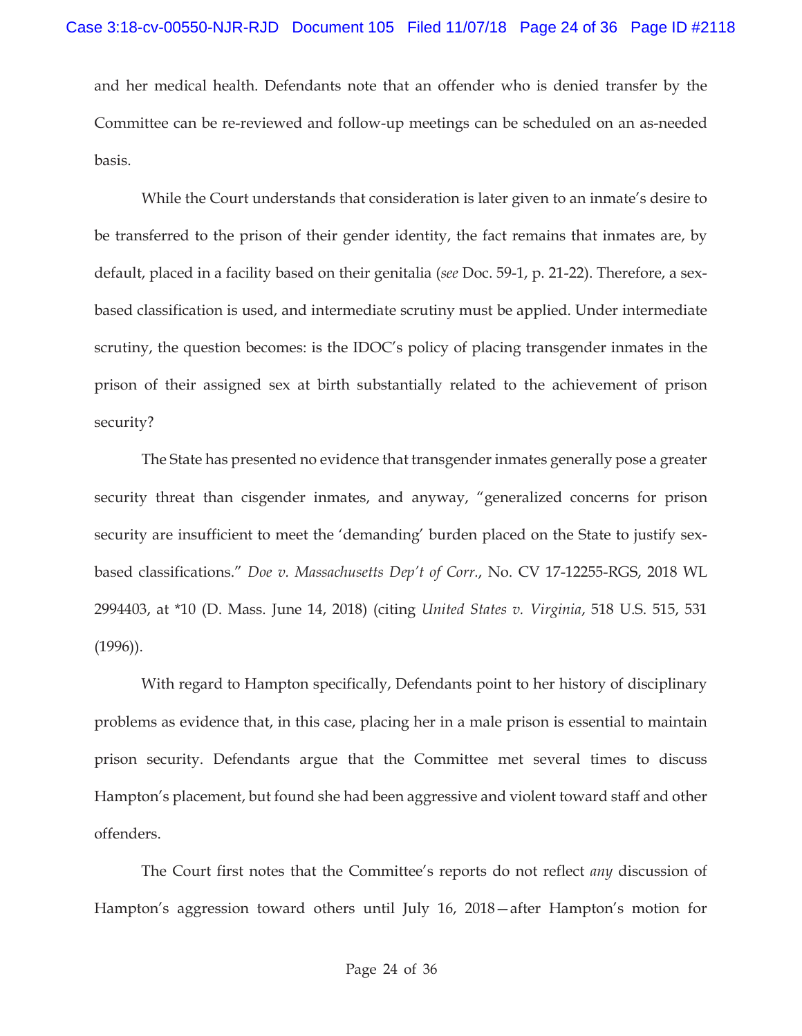and her medical health. Defendants note that an offender who is denied transfer by the Committee can be re-reviewed and follow-up meetings can be scheduled on an as-needed basis.

While the Court understands that consideration is later given to an inmate's desire to be transferred to the prison of their gender identity, the fact remains that inmates are, by default, placed in a facility based on their genitalia (*see* Doc. 59-1, p. 21-22). Therefore, a sexbased classification is used, and intermediate scrutiny must be applied. Under intermediate scrutiny, the question becomes: is the IDOC's policy of placing transgender inmates in the prison of their assigned sex at birth substantially related to the achievement of prison security?

The State has presented no evidence that transgender inmates generally pose a greater security threat than cisgender inmates, and anyway, "generalized concerns for prison security are insufficient to meet the 'demanding' burden placed on the State to justify sexbased classifications." *Doe v. Massachusetts Dep't of Corr.*, No. CV 17-12255-RGS, 2018 WL 2994403, at \*10 (D. Mass. June 14, 2018) (citing *United States v. Virginia*, 518 U.S. 515, 531 (1996)).

With regard to Hampton specifically, Defendants point to her history of disciplinary problems as evidence that, in this case, placing her in a male prison is essential to maintain prison security. Defendants argue that the Committee met several times to discuss Hampton's placement, but found she had been aggressive and violent toward staff and other offenders.

The Court first notes that the Committee's reports do not reflect *any* discussion of Hampton's aggression toward others until July 16, 2018—after Hampton's motion for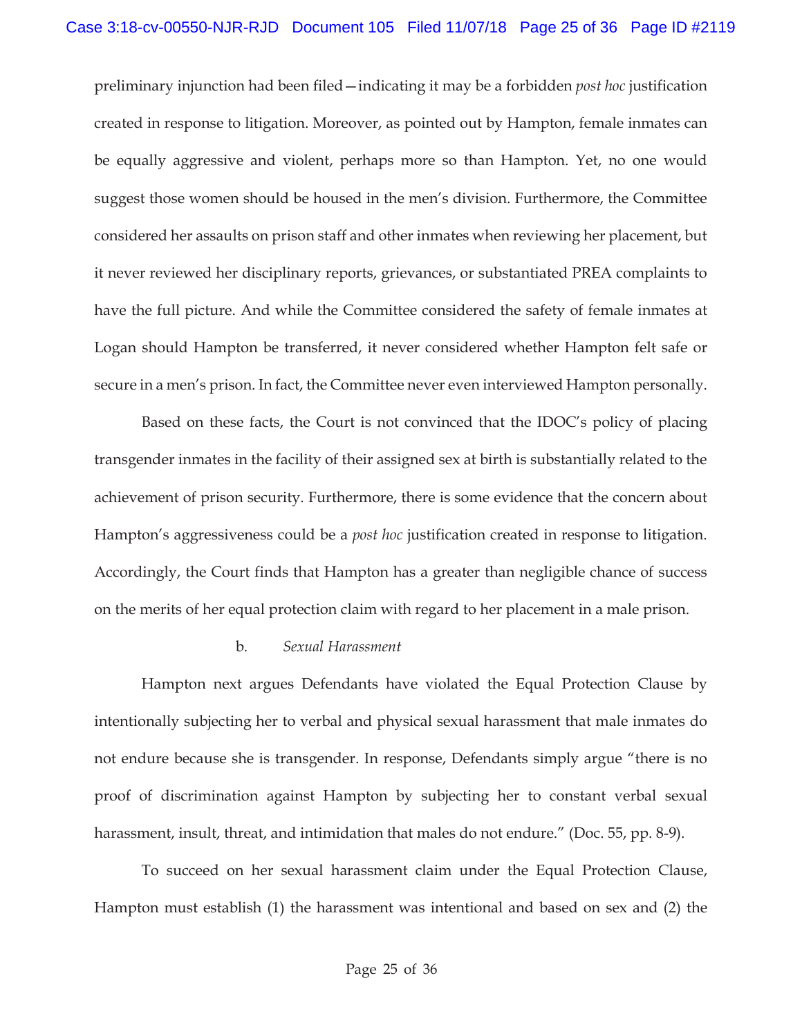preliminary injunction had been filed—indicating it may be a forbidden *post hoc* justification created in response to litigation. Moreover, as pointed out by Hampton, female inmates can be equally aggressive and violent, perhaps more so than Hampton. Yet, no one would suggest those women should be housed in the men's division. Furthermore, the Committee considered her assaults on prison staff and other inmates when reviewing her placement, but it never reviewed her disciplinary reports, grievances, or substantiated PREA complaints to have the full picture. And while the Committee considered the safety of female inmates at Logan should Hampton be transferred, it never considered whether Hampton felt safe or secure in a men's prison. In fact, the Committee never even interviewed Hampton personally.

Based on these facts, the Court is not convinced that the IDOC's policy of placing transgender inmates in the facility of their assigned sex at birth is substantially related to the achievement of prison security. Furthermore, there is some evidence that the concern about Hampton's aggressiveness could be a *post hoc* justification created in response to litigation. Accordingly, the Court finds that Hampton has a greater than negligible chance of success on the merits of her equal protection claim with regard to her placement in a male prison.

### b. *Sexual Harassment*

Hampton next argues Defendants have violated the Equal Protection Clause by intentionally subjecting her to verbal and physical sexual harassment that male inmates do not endure because she is transgender. In response, Defendants simply argue "there is no proof of discrimination against Hampton by subjecting her to constant verbal sexual harassment, insult, threat, and intimidation that males do not endure." (Doc. 55, pp. 8-9).

To succeed on her sexual harassment claim under the Equal Protection Clause, Hampton must establish (1) the harassment was intentional and based on sex and (2) the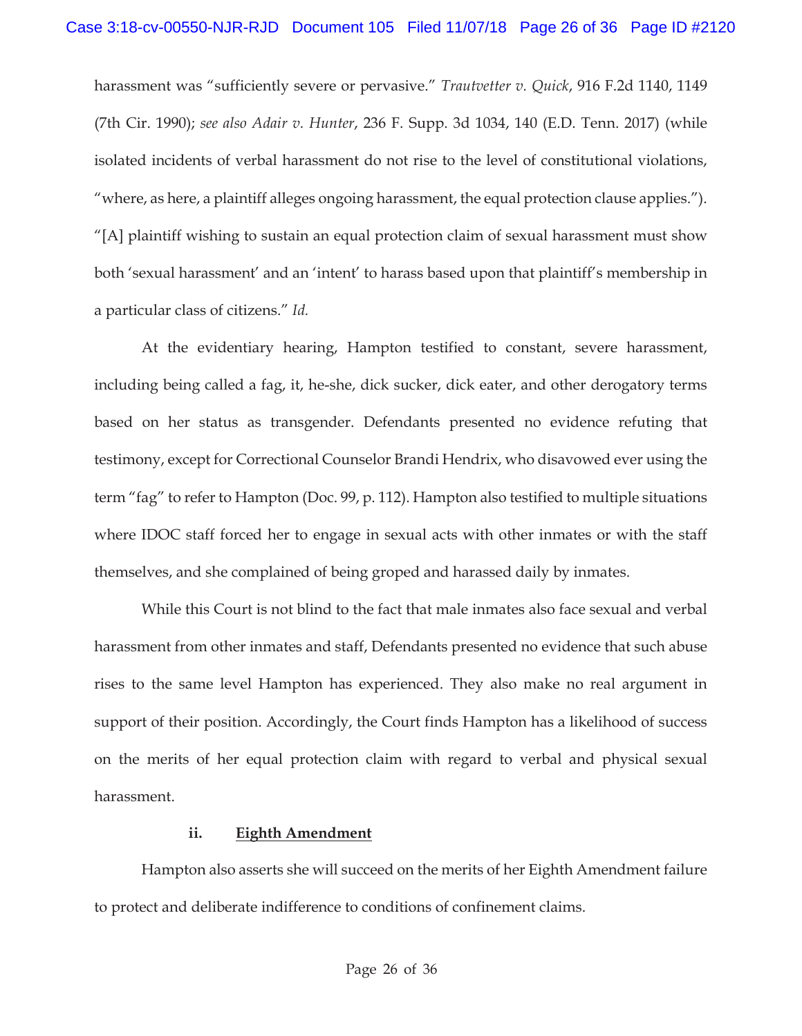harassment was "sufficiently severe or pervasive." *Trautvetter v. Quick*, 916 F.2d 1140, 1149 (7th Cir. 1990); *see also Adair v. Hunter*, 236 F. Supp. 3d 1034, 140 (E.D. Tenn. 2017) (while isolated incidents of verbal harassment do not rise to the level of constitutional violations, "where, as here, a plaintiff alleges ongoing harassment, the equal protection clause applies."). "[A] plaintiff wishing to sustain an equal protection claim of sexual harassment must show both 'sexual harassment' and an 'intent' to harass based upon that plaintiff's membership in a particular class of citizens." *Id.*

At the evidentiary hearing, Hampton testified to constant, severe harassment, including being called a fag, it, he-she, dick sucker, dick eater, and other derogatory terms based on her status as transgender. Defendants presented no evidence refuting that testimony, except for Correctional Counselor Brandi Hendrix, who disavowed ever using the term "fag" to refer to Hampton (Doc. 99, p. 112). Hampton also testified to multiple situations where IDOC staff forced her to engage in sexual acts with other inmates or with the staff themselves, and she complained of being groped and harassed daily by inmates.

While this Court is not blind to the fact that male inmates also face sexual and verbal harassment from other inmates and staff, Defendants presented no evidence that such abuse rises to the same level Hampton has experienced. They also make no real argument in support of their position. Accordingly, the Court finds Hampton has a likelihood of success on the merits of her equal protection claim with regard to verbal and physical sexual harassment.

#### **ii. Eighth Amendment**

Hampton also asserts she will succeed on the merits of her Eighth Amendment failure to protect and deliberate indifference to conditions of confinement claims.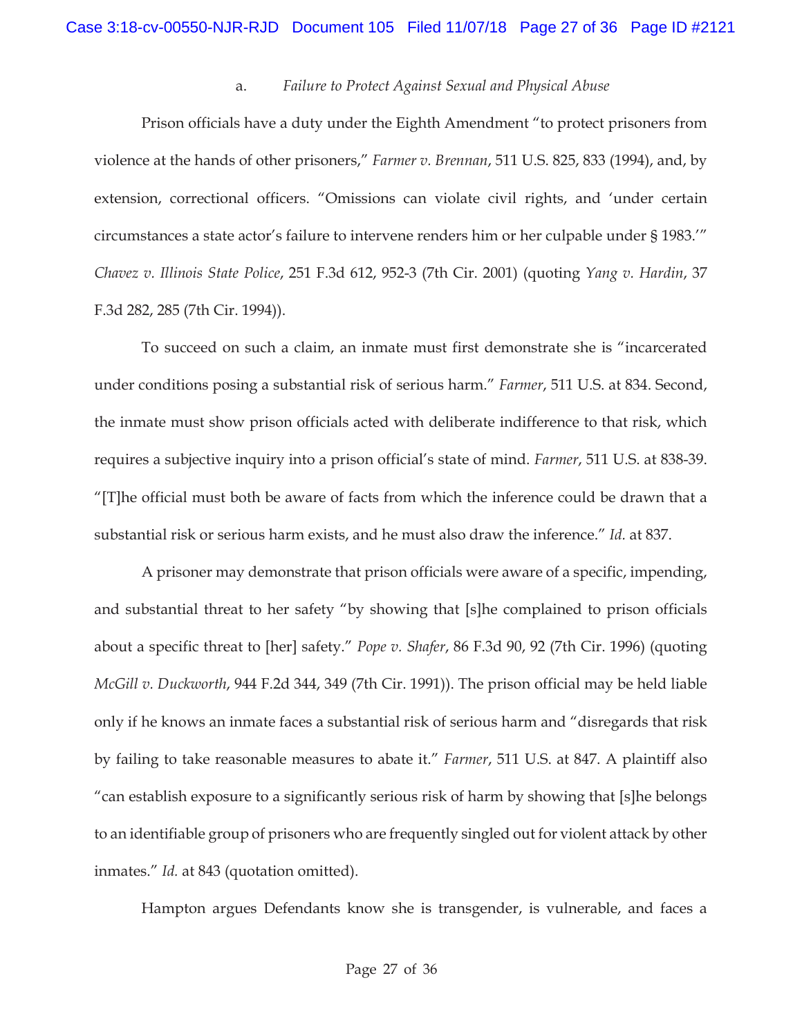#### a. *Failure to Protect Against Sexual and Physical Abuse*

Prison officials have a duty under the Eighth Amendment "to protect prisoners from violence at the hands of other prisoners," *Farmer v. Brennan*, 511 U.S. 825, 833 (1994), and, by extension, correctional officers. "Omissions can violate civil rights, and 'under certain circumstances a state actor's failure to intervene renders him or her culpable under § 1983.'" *Chavez v. Illinois State Police*, 251 F.3d 612, 952-3 (7th Cir. 2001) (quoting *Yang v. Hardin*, 37 F.3d 282, 285 (7th Cir. 1994)).

To succeed on such a claim, an inmate must first demonstrate she is "incarcerated under conditions posing a substantial risk of serious harm." *Farmer*, 511 U.S. at 834. Second, the inmate must show prison officials acted with deliberate indifference to that risk, which requires a subjective inquiry into a prison official's state of mind. *Farmer*, 511 U.S. at 838-39. "[T]he official must both be aware of facts from which the inference could be drawn that a substantial risk or serious harm exists, and he must also draw the inference." *Id.* at 837.

A prisoner may demonstrate that prison officials were aware of a specific, impending, and substantial threat to her safety "by showing that [s]he complained to prison officials about a specific threat to [her] safety." *Pope v. Shafer*, 86 F.3d 90, 92 (7th Cir. 1996) (quoting *McGill v. Duckworth*, 944 F.2d 344, 349 (7th Cir. 1991)). The prison official may be held liable only if he knows an inmate faces a substantial risk of serious harm and "disregards that risk by failing to take reasonable measures to abate it." *Farmer*, 511 U.S. at 847. A plaintiff also "can establish exposure to a significantly serious risk of harm by showing that [s]he belongs to an identifiable group of prisoners who are frequently singled out for violent attack by other inmates." *Id.* at 843 (quotation omitted).

Hampton argues Defendants know she is transgender, is vulnerable, and faces a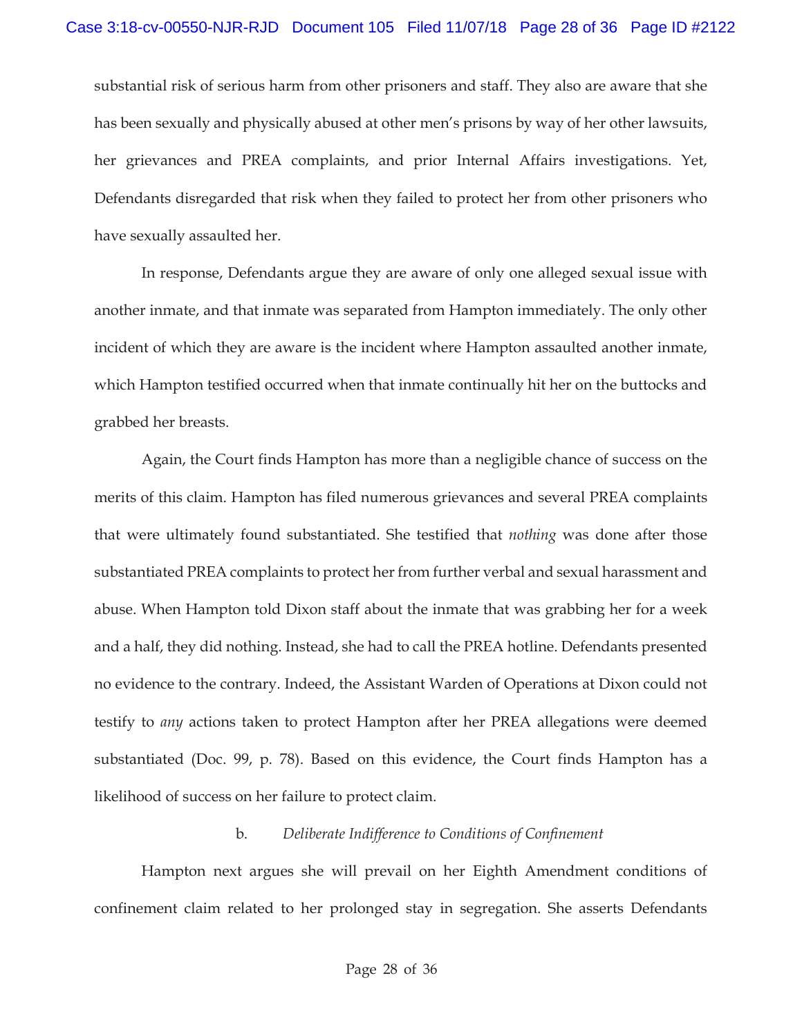substantial risk of serious harm from other prisoners and staff. They also are aware that she has been sexually and physically abused at other men's prisons by way of her other lawsuits, her grievances and PREA complaints, and prior Internal Affairs investigations. Yet, Defendants disregarded that risk when they failed to protect her from other prisoners who have sexually assaulted her.

In response, Defendants argue they are aware of only one alleged sexual issue with another inmate, and that inmate was separated from Hampton immediately. The only other incident of which they are aware is the incident where Hampton assaulted another inmate, which Hampton testified occurred when that inmate continually hit her on the buttocks and grabbed her breasts.

Again, the Court finds Hampton has more than a negligible chance of success on the merits of this claim. Hampton has filed numerous grievances and several PREA complaints that were ultimately found substantiated. She testified that *nothing* was done after those substantiated PREA complaints to protect her from further verbal and sexual harassment and abuse. When Hampton told Dixon staff about the inmate that was grabbing her for a week and a half, they did nothing. Instead, she had to call the PREA hotline. Defendants presented no evidence to the contrary. Indeed, the Assistant Warden of Operations at Dixon could not testify to *any* actions taken to protect Hampton after her PREA allegations were deemed substantiated (Doc. 99, p. 78). Based on this evidence, the Court finds Hampton has a likelihood of success on her failure to protect claim.

### b. *Deliberate Indifference to Conditions of Confinement*

Hampton next argues she will prevail on her Eighth Amendment conditions of confinement claim related to her prolonged stay in segregation. She asserts Defendants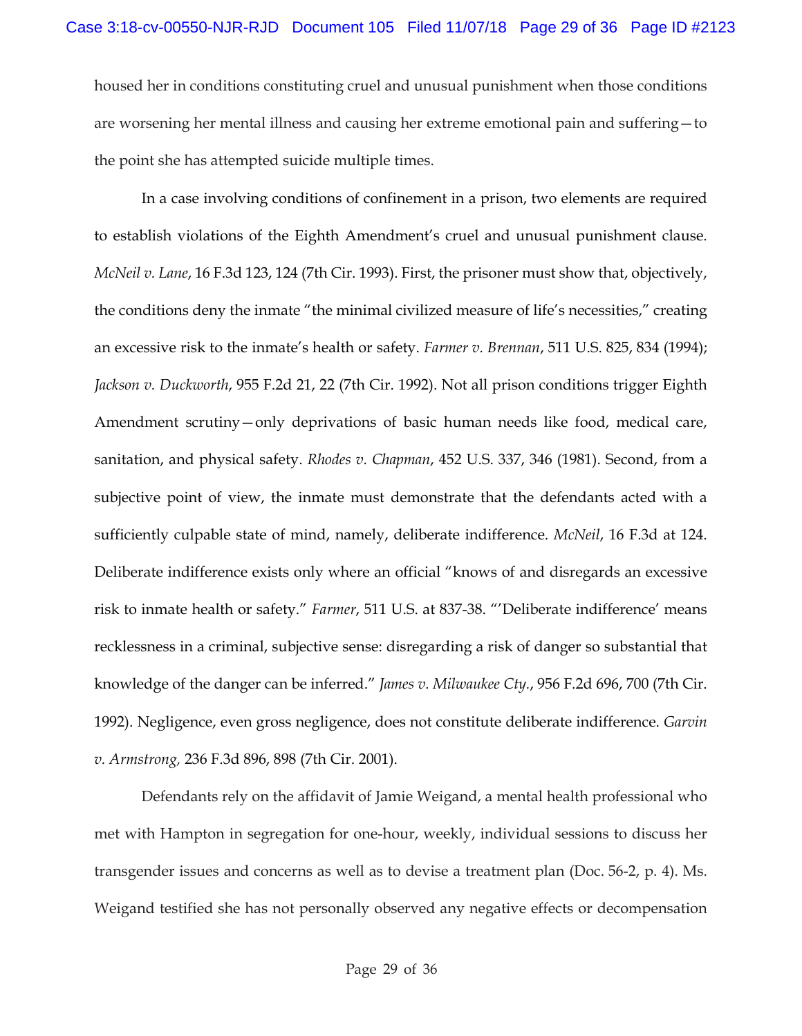housed her in conditions constituting cruel and unusual punishment when those conditions are worsening her mental illness and causing her extreme emotional pain and suffering—to the point she has attempted suicide multiple times.

In a case involving conditions of confinement in a prison, two elements are required to establish violations of the Eighth Amendment's cruel and unusual punishment clause. *McNeil v. Lane*, 16 F.3d 123, 124 (7th Cir. 1993). First, the prisoner must show that, objectively, the conditions deny the inmate "the minimal civilized measure of life's necessities," creating an excessive risk to the inmate's health or safety. *Farmer v. Brennan*, 511 U.S. 825, 834 (1994); *Jackson v. Duckworth*, 955 F.2d 21, 22 (7th Cir. 1992). Not all prison conditions trigger Eighth Amendment scrutiny—only deprivations of basic human needs like food, medical care, sanitation, and physical safety. *Rhodes v. Chapman*, 452 U.S. 337, 346 (1981). Second, from a subjective point of view, the inmate must demonstrate that the defendants acted with a sufficiently culpable state of mind, namely, deliberate indifference. *McNeil*, 16 F.3d at 124. Deliberate indifference exists only where an official "knows of and disregards an excessive risk to inmate health or safety." *Farmer*, 511 U.S. at 837-38. "'Deliberate indifference' means recklessness in a criminal, subjective sense: disregarding a risk of danger so substantial that knowledge of the danger can be inferred." *James v. Milwaukee Cty.*, 956 F.2d 696, 700 (7th Cir. 1992). Negligence, even gross negligence, does not constitute deliberate indifference. *Garvin v. Armstrong,* 236 F.3d 896, 898 (7th Cir. 2001).

Defendants rely on the affidavit of Jamie Weigand, a mental health professional who met with Hampton in segregation for one-hour, weekly, individual sessions to discuss her transgender issues and concerns as well as to devise a treatment plan (Doc. 56-2, p. 4). Ms. Weigand testified she has not personally observed any negative effects or decompensation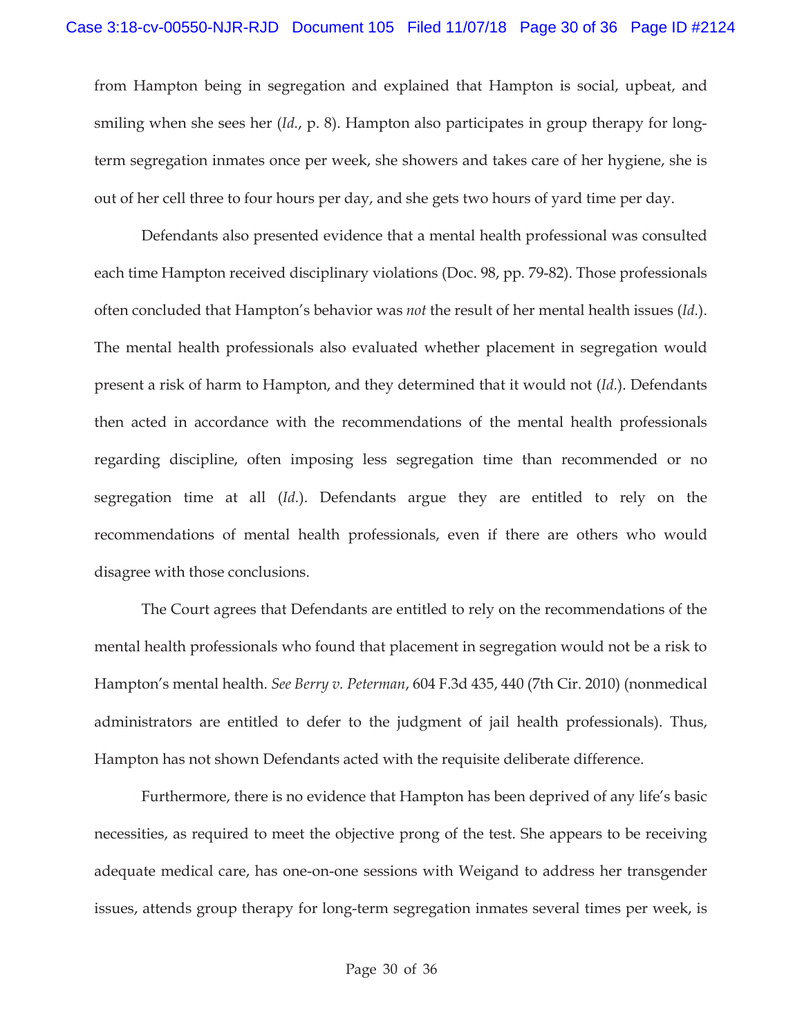from Hampton being in segregation and explained that Hampton is social, upbeat, and smiling when she sees her (*Id.*, p. 8). Hampton also participates in group therapy for longterm segregation inmates once per week, she showers and takes care of her hygiene, she is out of her cell three to four hours per day, and she gets two hours of yard time per day.

Defendants also presented evidence that a mental health professional was consulted each time Hampton received disciplinary violations (Doc. 98, pp. 79-82). Those professionals often concluded that Hampton's behavior was *not* the result of her mental health issues (*Id.*). The mental health professionals also evaluated whether placement in segregation would present a risk of harm to Hampton, and they determined that it would not (*Id.*). Defendants then acted in accordance with the recommendations of the mental health professionals regarding discipline, often imposing less segregation time than recommended or no segregation time at all (*Id.*). Defendants argue they are entitled to rely on the recommendations of mental health professionals, even if there are others who would disagree with those conclusions.

The Court agrees that Defendants are entitled to rely on the recommendations of the mental health professionals who found that placement in segregation would not be a risk to Hampton's mental health. *See Berry v. Peterman*, 604 F.3d 435, 440 (7th Cir. 2010) (nonmedical administrators are entitled to defer to the judgment of jail health professionals). Thus, Hampton has not shown Defendants acted with the requisite deliberate difference.

Furthermore, there is no evidence that Hampton has been deprived of any life's basic necessities, as required to meet the objective prong of the test. She appears to be receiving adequate medical care, has one-on-one sessions with Weigand to address her transgender issues, attends group therapy for long-term segregation inmates several times per week, is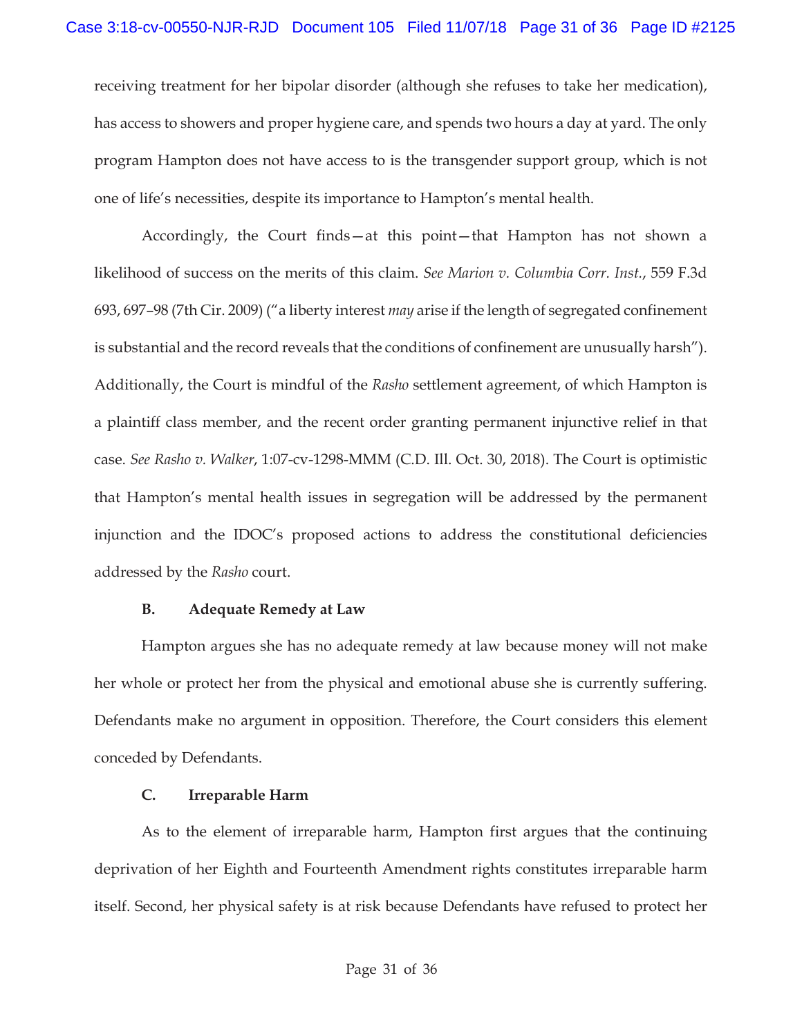receiving treatment for her bipolar disorder (although she refuses to take her medication), has access to showers and proper hygiene care, and spends two hours a day at yard. The only program Hampton does not have access to is the transgender support group, which is not one of life's necessities, despite its importance to Hampton's mental health.

Accordingly, the Court finds—at this point—that Hampton has not shown a likelihood of success on the merits of this claim. *See Marion v. Columbia Corr. Inst.*, 559 F.3d 693, 697–98 (7th Cir. 2009) ("a liberty interest *may* arise if the length of segregated confinement is substantial and the record reveals that the conditions of confinement are unusually harsh"). Additionally, the Court is mindful of the *Rasho* settlement agreement, of which Hampton is a plaintiff class member, and the recent order granting permanent injunctive relief in that case. *See Rasho v. Walker*, 1:07-cv-1298-MMM (C.D. Ill. Oct. 30, 2018). The Court is optimistic that Hampton's mental health issues in segregation will be addressed by the permanent injunction and the IDOC's proposed actions to address the constitutional deficiencies addressed by the *Rasho* court.

### **B. Adequate Remedy at Law**

Hampton argues she has no adequate remedy at law because money will not make her whole or protect her from the physical and emotional abuse she is currently suffering. Defendants make no argument in opposition. Therefore, the Court considers this element conceded by Defendants.

## **C. Irreparable Harm**

As to the element of irreparable harm, Hampton first argues that the continuing deprivation of her Eighth and Fourteenth Amendment rights constitutes irreparable harm itself. Second, her physical safety is at risk because Defendants have refused to protect her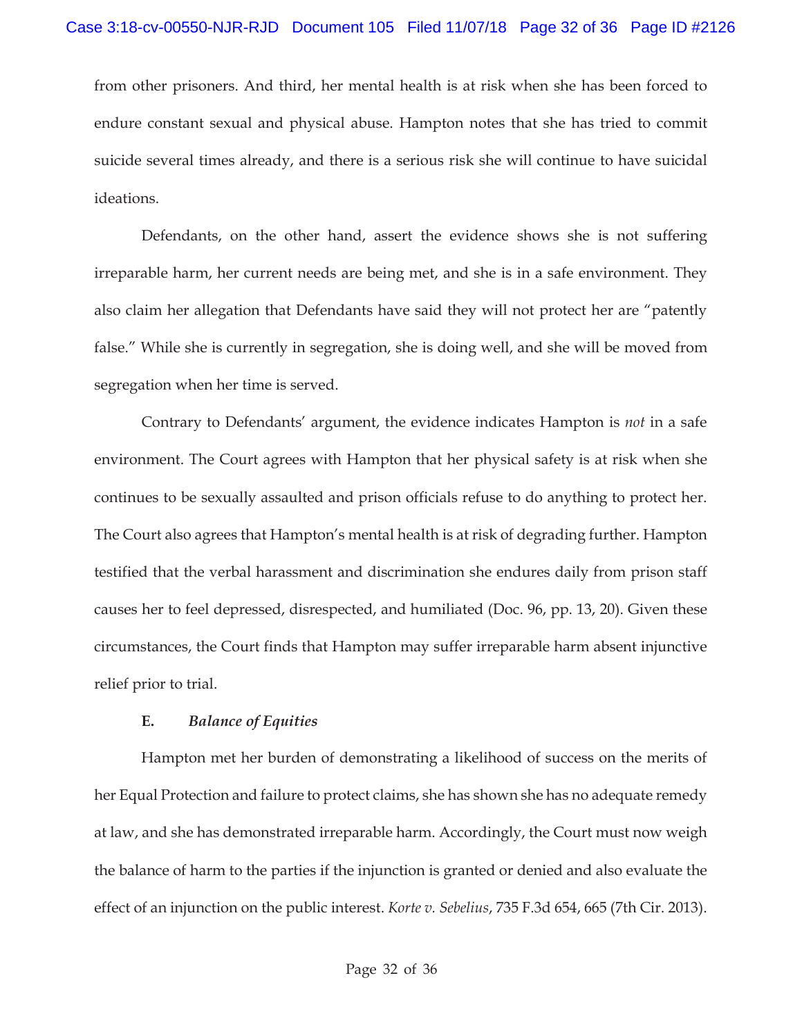from other prisoners. And third, her mental health is at risk when she has been forced to endure constant sexual and physical abuse. Hampton notes that she has tried to commit suicide several times already, and there is a serious risk she will continue to have suicidal ideations.

Defendants, on the other hand, assert the evidence shows she is not suffering irreparable harm, her current needs are being met, and she is in a safe environment. They also claim her allegation that Defendants have said they will not protect her are "patently false." While she is currently in segregation, she is doing well, and she will be moved from segregation when her time is served.

Contrary to Defendants' argument, the evidence indicates Hampton is *not* in a safe environment. The Court agrees with Hampton that her physical safety is at risk when she continues to be sexually assaulted and prison officials refuse to do anything to protect her. The Court also agrees that Hampton's mental health is at risk of degrading further. Hampton testified that the verbal harassment and discrimination she endures daily from prison staff causes her to feel depressed, disrespected, and humiliated (Doc. 96, pp. 13, 20). Given these circumstances, the Court finds that Hampton may suffer irreparable harm absent injunctive relief prior to trial.

### **E.** *Balance of Equities*

Hampton met her burden of demonstrating a likelihood of success on the merits of her Equal Protection and failure to protect claims, she has shown she has no adequate remedy at law, and she has demonstrated irreparable harm. Accordingly, the Court must now weigh the balance of harm to the parties if the injunction is granted or denied and also evaluate the effect of an injunction on the public interest. *Korte v. Sebelius*, 735 F.3d 654, 665 (7th Cir. 2013).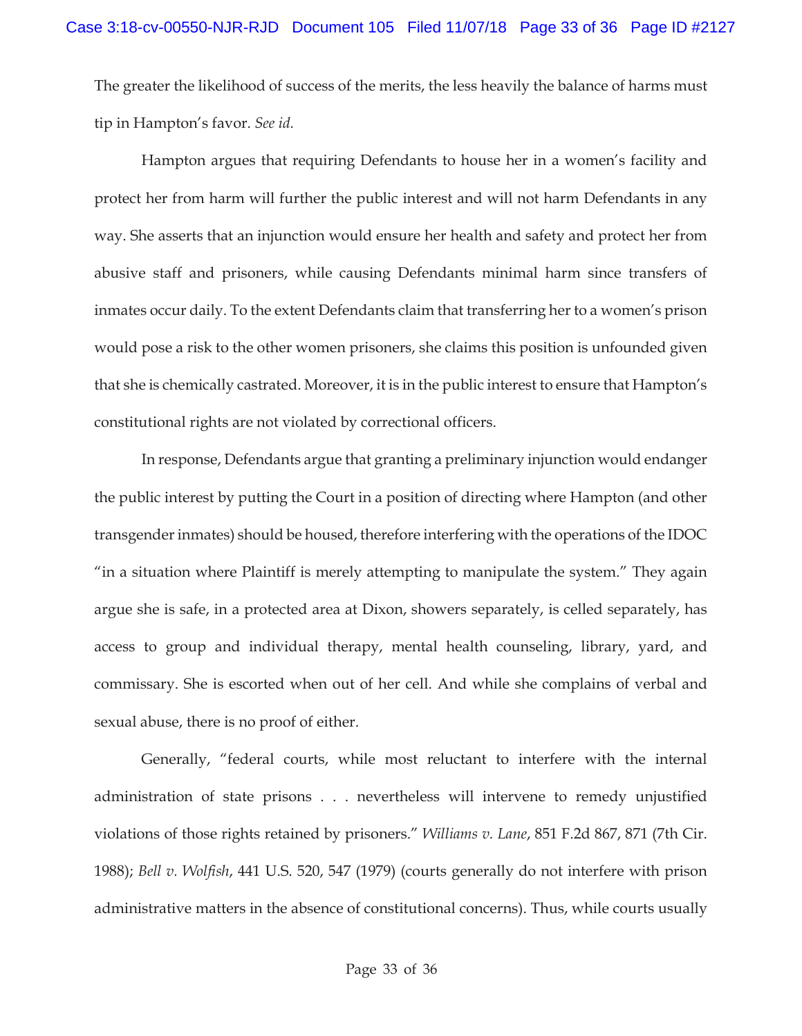The greater the likelihood of success of the merits, the less heavily the balance of harms must tip in Hampton's favor. *See id.* 

Hampton argues that requiring Defendants to house her in a women's facility and protect her from harm will further the public interest and will not harm Defendants in any way. She asserts that an injunction would ensure her health and safety and protect her from abusive staff and prisoners, while causing Defendants minimal harm since transfers of inmates occur daily. To the extent Defendants claim that transferring her to a women's prison would pose a risk to the other women prisoners, she claims this position is unfounded given that she is chemically castrated. Moreover, it is in the public interest to ensure that Hampton's constitutional rights are not violated by correctional officers.

In response, Defendants argue that granting a preliminary injunction would endanger the public interest by putting the Court in a position of directing where Hampton (and other transgender inmates) should be housed, therefore interfering with the operations of the IDOC "in a situation where Plaintiff is merely attempting to manipulate the system." They again argue she is safe, in a protected area at Dixon, showers separately, is celled separately, has access to group and individual therapy, mental health counseling, library, yard, and commissary. She is escorted when out of her cell. And while she complains of verbal and sexual abuse, there is no proof of either.

Generally, "federal courts, while most reluctant to interfere with the internal administration of state prisons . . . nevertheless will intervene to remedy unjustified violations of those rights retained by prisoners." *Williams v. Lane*, 851 F.2d 867, 871 (7th Cir. 1988); *Bell v. Wolfish*, 441 U.S. 520, 547 (1979) (courts generally do not interfere with prison administrative matters in the absence of constitutional concerns). Thus, while courts usually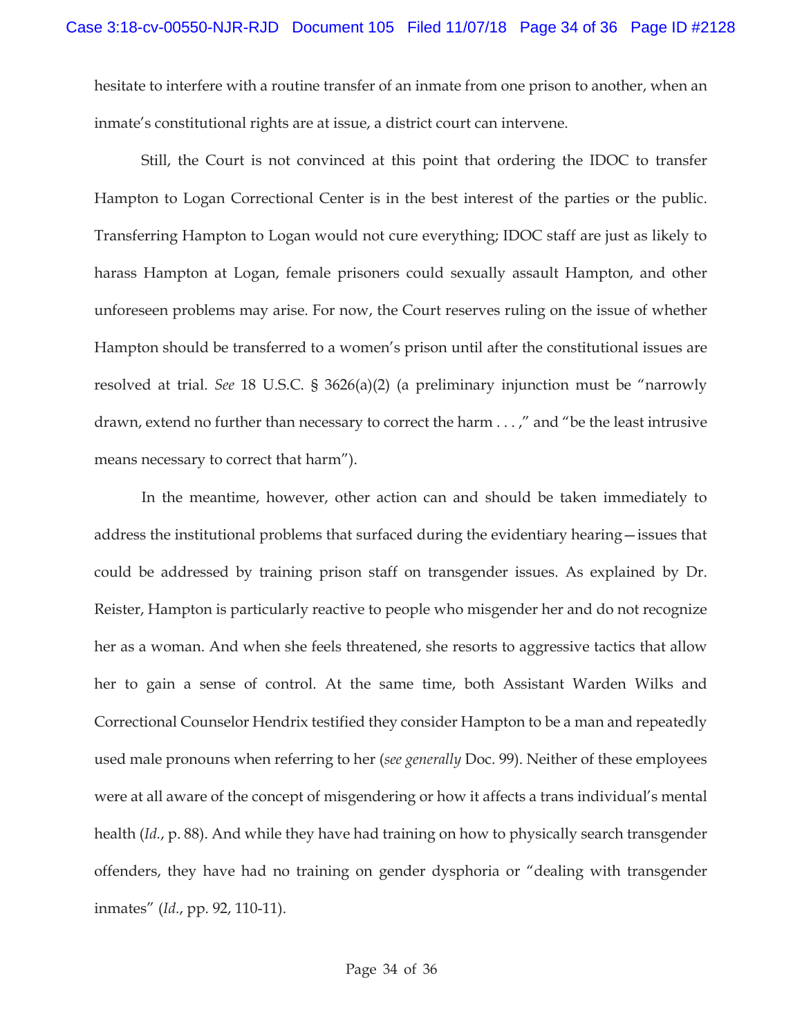hesitate to interfere with a routine transfer of an inmate from one prison to another, when an inmate's constitutional rights are at issue, a district court can intervene.

Still, the Court is not convinced at this point that ordering the IDOC to transfer Hampton to Logan Correctional Center is in the best interest of the parties or the public. Transferring Hampton to Logan would not cure everything; IDOC staff are just as likely to harass Hampton at Logan, female prisoners could sexually assault Hampton, and other unforeseen problems may arise. For now, the Court reserves ruling on the issue of whether Hampton should be transferred to a women's prison until after the constitutional issues are resolved at trial. *See* 18 U.S.C. § 3626(a)(2) (a preliminary injunction must be "narrowly drawn, extend no further than necessary to correct the harm . . . ," and "be the least intrusive means necessary to correct that harm").

In the meantime, however, other action can and should be taken immediately to address the institutional problems that surfaced during the evidentiary hearing—issues that could be addressed by training prison staff on transgender issues. As explained by Dr. Reister, Hampton is particularly reactive to people who misgender her and do not recognize her as a woman. And when she feels threatened, she resorts to aggressive tactics that allow her to gain a sense of control. At the same time, both Assistant Warden Wilks and Correctional Counselor Hendrix testified they consider Hampton to be a man and repeatedly used male pronouns when referring to her (*see generally* Doc. 99). Neither of these employees were at all aware of the concept of misgendering or how it affects a trans individual's mental health (*Id.*, p. 88). And while they have had training on how to physically search transgender offenders, they have had no training on gender dysphoria or "dealing with transgender inmates" (*Id.*, pp. 92, 110-11).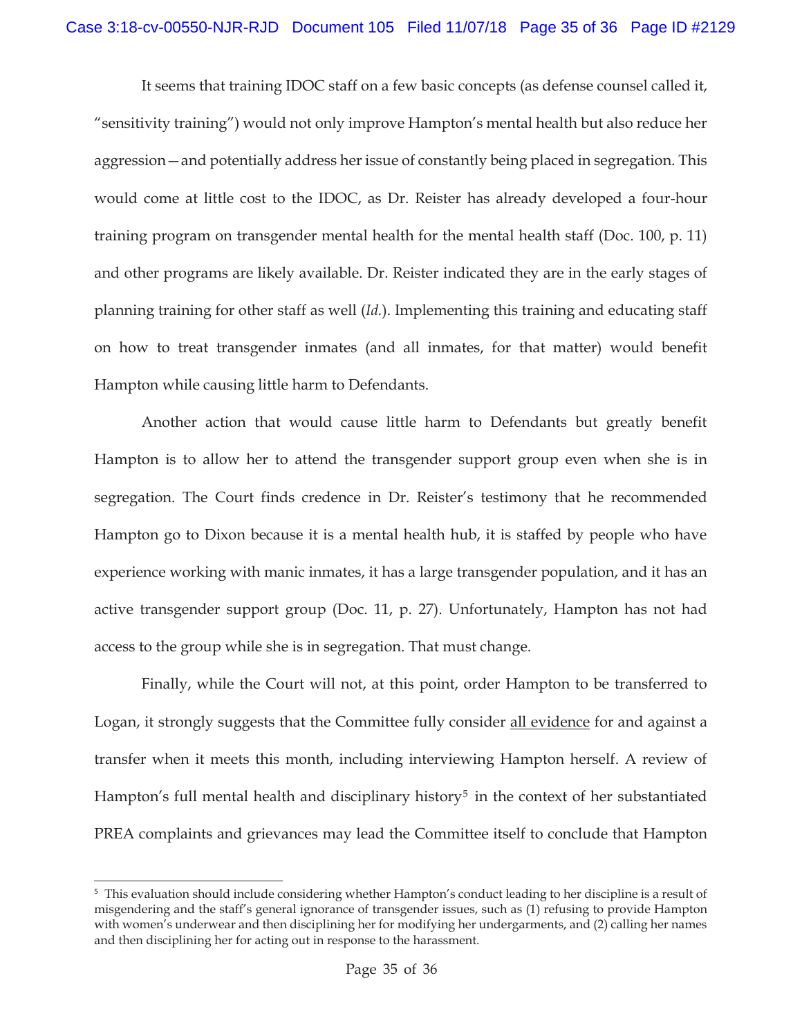It seems that training IDOC staff on a few basic concepts (as defense counsel called it, "sensitivity training") would not only improve Hampton's mental health but also reduce her aggression—and potentially address her issue of constantly being placed in segregation. This would come at little cost to the IDOC, as Dr. Reister has already developed a four-hour training program on transgender mental health for the mental health staff (Doc. 100, p. 11) and other programs are likely available. Dr. Reister indicated they are in the early stages of planning training for other staff as well (*Id.*). Implementing this training and educating staff on how to treat transgender inmates (and all inmates, for that matter) would benefit Hampton while causing little harm to Defendants.

Another action that would cause little harm to Defendants but greatly benefit Hampton is to allow her to attend the transgender support group even when she is in segregation. The Court finds credence in Dr. Reister's testimony that he recommended Hampton go to Dixon because it is a mental health hub, it is staffed by people who have experience working with manic inmates, it has a large transgender population, and it has an active transgender support group (Doc. 11, p. 27). Unfortunately, Hampton has not had access to the group while she is in segregation. That must change.

Finally, while the Court will not, at this point, order Hampton to be transferred to Logan, it strongly suggests that the Committee fully consider all evidence for and against a transfer when it meets this month, including interviewing Hampton herself. A review of Hampton's full mental health and disciplinary history<sup>5</sup> in the context of her substantiated PREA complaints and grievances may lead the Committee itself to conclude that Hampton

<sup>5</sup> This evaluation should include considering whether Hampton's conduct leading to her discipline is a result of misgendering and the staff's general ignorance of transgender issues, such as (1) refusing to provide Hampton with women's underwear and then disciplining her for modifying her undergarments, and (2) calling her names and then disciplining her for acting out in response to the harassment.